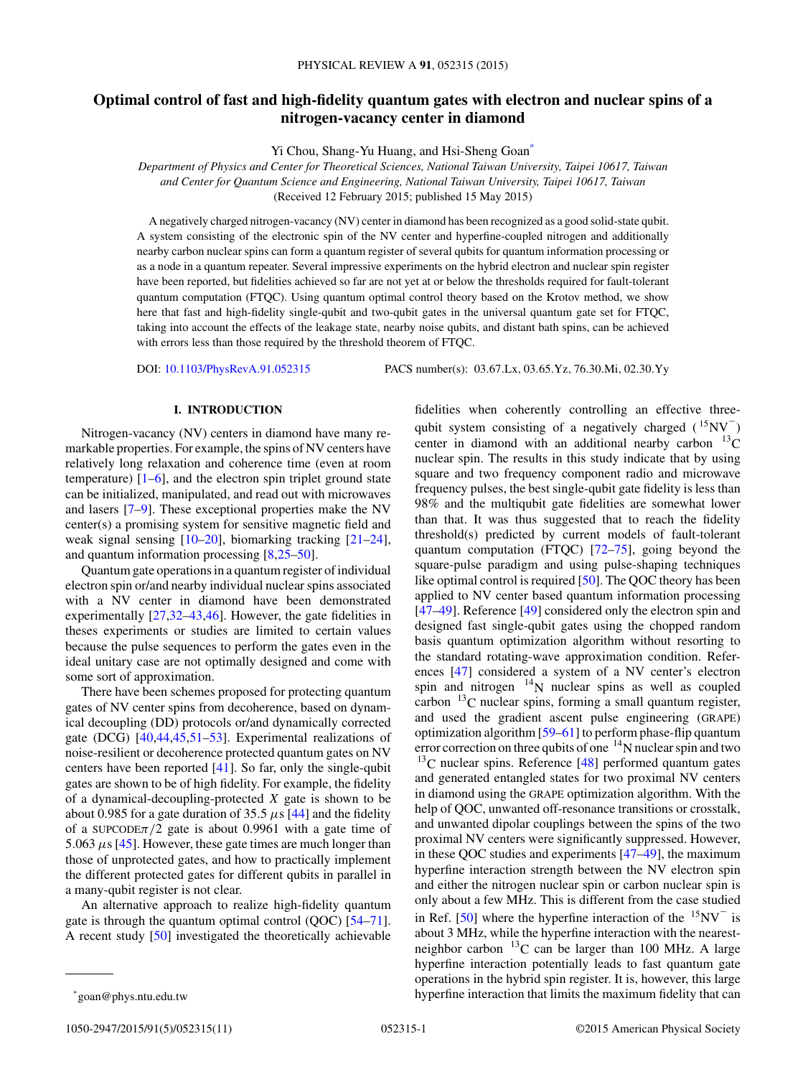# **Optimal control of fast and high-fidelity quantum gates with electron and nuclear spins of a nitrogen-vacancy center in diamond**

Yi Chou, Shang-Yu Huang, and Hsi-Sheng Goan\*

*Department of Physics and Center for Theoretical Sciences, National Taiwan University, Taipei 10617, Taiwan and Center for Quantum Science and Engineering, National Taiwan University, Taipei 10617, Taiwan* (Received 12 February 2015; published 15 May 2015)

A negatively charged nitrogen-vacancy (NV) center in diamond has been recognized as a good solid-state qubit. A system consisting of the electronic spin of the NV center and hyperfine-coupled nitrogen and additionally nearby carbon nuclear spins can form a quantum register of several qubits for quantum information processing or as a node in a quantum repeater. Several impressive experiments on the hybrid electron and nuclear spin register have been reported, but fidelities achieved so far are not yet at or below the thresholds required for fault-tolerant quantum computation (FTQC). Using quantum optimal control theory based on the Krotov method, we show here that fast and high-fidelity single-qubit and two-qubit gates in the universal quantum gate set for FTQC, taking into account the effects of the leakage state, nearby noise qubits, and distant bath spins, can be achieved with errors less than those required by the threshold theorem of FTQC.

DOI: [10.1103/PhysRevA.91.052315](http://dx.doi.org/10.1103/PhysRevA.91.052315) PACS number(s): 03*.*67*.*Lx*,* 03*.*65*.*Yz*,* 76*.*30*.*Mi*,* 02*.*30*.*Yy

fidelities when coherently controlling an effective threequbit system consisting of a negatively charged  $(^{15}NV^-)$ center in diamond with an additional nearby carbon  $^{13}$ C nuclear spin. The results in this study indicate that by using square and two frequency component radio and microwave frequency pulses, the best single-qubit gate fidelity is less than 98% and the multiqubit gate fidelities are somewhat lower than that. It was thus suggested that to reach the fidelity

## **I. INTRODUCTION**

Nitrogen-vacancy (NV) centers in diamond have many remarkable properties. For example, the spins of NV centers have relatively long relaxation and coherence time (even at room temperature)  $[1-6]$ , and the electron spin triplet ground state can be initialized, manipulated, and read out with microwaves and lasers [\[7–9\]](#page-8-0). These exceptional properties make the NV center(s) a promising system for sensitive magnetic field and weak signal sensing [\[10](#page-8-0)[–20\]](#page-9-0), biomarking tracking [\[21–24\]](#page-9-0), and quantum information processing [\[8](#page-8-0)[,25–50\]](#page-9-0).

Quantum gate operations in a quantum register of individual electron spin or/and nearby individual nuclear spins associated with a NV center in diamond have been demonstrated experimentally [\[27,32–43,46\]](#page-9-0). However, the gate fidelities in theses experiments or studies are limited to certain values because the pulse sequences to perform the gates even in the ideal unitary case are not optimally designed and come with some sort of approximation.

There have been schemes proposed for protecting quantum gates of NV center spins from decoherence, based on dynamical decoupling (DD) protocols or/and dynamically corrected gate (DCG) [\[40,44,45,51–53\]](#page-9-0). Experimental realizations of noise-resilient or decoherence protected quantum gates on NV centers have been reported [\[41\]](#page-9-0). So far, only the single-qubit gates are shown to be of high fidelity. For example, the fidelity of a dynamical-decoupling-protected *X* gate is shown to be about 0.985 for a gate duration of 35.5  $\mu$ s [\[44\]](#page-9-0) and the fidelity of a SUPCODE $\pi/2$  gate is about 0.9961 with a gate time of 5.063  $\mu$ s [\[45\]](#page-9-0). However, these gate times are much longer than those of unprotected gates, and how to practically implement the different protected gates for different qubits in parallel in a many-qubit register is not clear.

An alternative approach to realize high-fidelity quantum gate is through the quantum optimal control (QOC) [\[54–71\]](#page-9-0). A recent study [\[50\]](#page-9-0) investigated the theoretically achievable

hyperfine interaction that limits the maximum fidelity that can

threshold(s) predicted by current models of fault-tolerant quantum computation (FTQC) [\[72](#page-9-0)[–75\]](#page-10-0), going beyond the square-pulse paradigm and using pulse-shaping techniques like optimal control is required [\[50\]](#page-9-0). The QOC theory has been applied to NV center based quantum information processing [\[47–49\]](#page-9-0). Reference [\[49\]](#page-9-0) considered only the electron spin and designed fast single-qubit gates using the chopped random basis quantum optimization algorithm without resorting to the standard rotating-wave approximation condition. References [\[47\]](#page-9-0) considered a system of a NV center's electron spin and nitrogen  $14$ N nuclear spins as well as coupled carbon  $^{13}$ C nuclear spins, forming a small quantum register, and used the gradient ascent pulse engineering (GRAPE) optimization algorithm [\[59–61\]](#page-9-0) to perform phase-flip quantum error correction on three qubits of one  $14$ N nuclear spin and two  $13<sup>13</sup>C$  nuclear spins. Reference [\[48\]](#page-9-0) performed quantum gates and generated entangled states for two proximal NV centers in diamond using the GRAPE optimization algorithm. With the help of QOC, unwanted off-resonance transitions or crosstalk, and unwanted dipolar couplings between the spins of the two proximal NV centers were significantly suppressed. However, in these QOC studies and experiments [\[47–49\]](#page-9-0), the maximum hyperfine interaction strength between the NV electron spin and either the nitrogen nuclear spin or carbon nuclear spin is only about a few MHz. This is different from the case studied in Ref. [\[50\]](#page-9-0) where the hyperfine interaction of the  $15NV$ <sup>-</sup> is about 3 MHz, while the hyperfine interaction with the nearestneighbor carbon  $^{13}$ C can be larger than 100 MHz. A large hyperfine interaction potentially leads to fast quantum gate operations in the hybrid spin register. It is, however, this large

<sup>\*</sup>goan@phys.ntu.edu.tw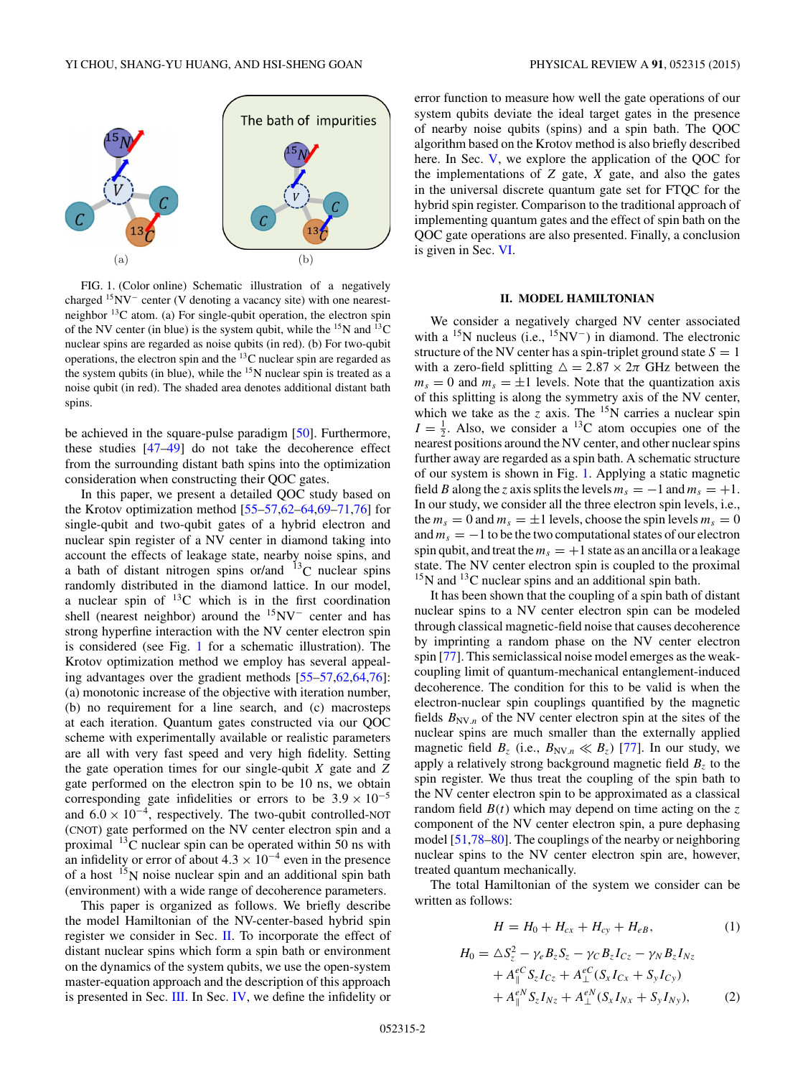<span id="page-1-0"></span>

FIG. 1. (Color online) Schematic illustration of a negatively charged 15NV<sup>−</sup> center (V denoting a vacancy site) with one nearestneighbor  ${}^{13}C$  atom. (a) For single-qubit operation, the electron spin of the NV center (in blue) is the system qubit, while the  $^{15}N$  and  $^{13}C$ nuclear spins are regarded as noise qubits (in red). (b) For two-qubit operations, the electron spin and the 13C nuclear spin are regarded as the system qubits (in blue), while the  $15N$  nuclear spin is treated as a noise qubit (in red). The shaded area denotes additional distant bath spins.

be achieved in the square-pulse paradigm [\[50\]](#page-9-0). Furthermore, these studies [\[47–49\]](#page-9-0) do not take the decoherence effect from the surrounding distant bath spins into the optimization consideration when constructing their QOC gates.

In this paper, we present a detailed QOC study based on the Krotov optimization method [\[55–57,62–64,69–71](#page-9-0)[,76\]](#page-10-0) for single-qubit and two-qubit gates of a hybrid electron and nuclear spin register of a NV center in diamond taking into account the effects of leakage state, nearby noise spins, and a bath of distant nitrogen spins or/and  $^{13}$ C nuclear spins randomly distributed in the diamond lattice. In our model, a nuclear spin of  $^{13}$ C which is in the first coordination shell (nearest neighbor) around the <sup>15</sup>NV<sup>−</sup> center and has strong hyperfine interaction with the NV center electron spin is considered (see Fig. 1 for a schematic illustration). The Krotov optimization method we employ has several appealing advantages over the gradient methods [\[55–57,62,64](#page-9-0)[,76\]](#page-10-0): (a) monotonic increase of the objective with iteration number, (b) no requirement for a line search, and (c) macrosteps at each iteration. Quantum gates constructed via our QOC scheme with experimentally available or realistic parameters are all with very fast speed and very high fidelity. Setting the gate operation times for our single-qubit *X* gate and *Z* gate performed on the electron spin to be 10 ns, we obtain corresponding gate infidelities or errors to be  $3.9 \times 10^{-5}$ and  $6.0 \times 10^{-4}$ , respectively. The two-qubit controlled-NOT (CNOT) gate performed on the NV center electron spin and a proximal  $^{13}$ C nuclear spin can be operated within 50 ns with an infidelity or error of about  $4.3 \times 10^{-4}$  even in the presence of a host  $15<sup>N</sup>$  noise nuclear spin and an additional spin bath (environment) with a wide range of decoherence parameters.

This paper is organized as follows. We briefly describe the model Hamiltonian of the NV-center-based hybrid spin register we consider in Sec. II. To incorporate the effect of distant nuclear spins which form a spin bath or environment on the dynamics of the system qubits, we use the open-system master-equation approach and the description of this approach is presented in Sec. [III.](#page-2-0) In Sec. [IV,](#page-2-0) we define the infidelity or error function to measure how well the gate operations of our system qubits deviate the ideal target gates in the presence of nearby noise qubits (spins) and a spin bath. The QOC algorithm based on the Krotov method is also briefly described here. In Sec. [V,](#page-3-0) we explore the application of the QOC for the implementations of *Z* gate, *X* gate, and also the gates in the universal discrete quantum gate set for FTQC for the hybrid spin register. Comparison to the traditional approach of implementing quantum gates and the effect of spin bath on the QOC gate operations are also presented. Finally, a conclusion is given in Sec. [VI.](#page-7-0)

#### **II. MODEL HAMILTONIAN**

We consider a negatively charged NV center associated with a <sup>15</sup>N nucleus (i.e., <sup>15</sup>NV<sup>-</sup>) in diamond. The electronic structure of the NV center has a spin-triplet ground state  $S = 1$ with a zero-field splitting  $\Delta = 2.87 \times 2\pi$  GHz between the  $m_s = 0$  and  $m_s = \pm 1$  levels. Note that the quantization axis of this splitting is along the symmetry axis of the NV center, which we take as the  $z$  axis. The <sup>15</sup>N carries a nuclear spin  $I = \frac{1}{2}$ . Also, we consider a <sup>13</sup>C atom occupies one of the nearest positions around the NV center, and other nuclear spins further away are regarded as a spin bath. A schematic structure of our system is shown in Fig. 1. Applying a static magnetic field *B* along the *z* axis splits the levels  $m_s = -1$  and  $m_s = +1$ . In our study, we consider all the three electron spin levels, i.e., the  $m_s = 0$  and  $m_s = \pm 1$  levels, choose the spin levels  $m_s = 0$ and  $m<sub>s</sub> = -1$  to be the two computational states of our electron spin qubit, and treat the  $m<sub>s</sub> = +1$  state as an ancilla or a leakage state. The NV center electron spin is coupled to the proximal  $15$ N and  $13$ C nuclear spins and an additional spin bath.

It has been shown that the coupling of a spin bath of distant nuclear spins to a NV center electron spin can be modeled through classical magnetic-field noise that causes decoherence by imprinting a random phase on the NV center electron spin [\[77\]](#page-10-0). This semiclassical noise model emerges as the weakcoupling limit of quantum-mechanical entanglement-induced decoherence. The condition for this to be valid is when the electron-nuclear spin couplings quantified by the magnetic fields  $B_{\text{NV},n}$  of the NV center electron spin at the sites of the nuclear spins are much smaller than the externally applied magnetic field  $B_z$  (i.e.,  $B_{\text{NV},n} \ll B_z$ ) [\[77\]](#page-10-0). In our study, we apply a relatively strong background magnetic field  $B<sub>z</sub>$  to the spin register. We thus treat the coupling of the spin bath to the NV center electron spin to be approximated as a classical random field  $B(t)$  which may depend on time acting on the *z* component of the NV center electron spin, a pure dephasing model [\[51,](#page-9-0)[78–80\]](#page-10-0). The couplings of the nearby or neighboring nuclear spins to the NV center electron spin are, however, treated quantum mechanically.

The total Hamiltonian of the system we consider can be written as follows:

$$
H = H_0 + H_{cx} + H_{cy} + H_{eB}, \t\t(1)
$$

$$
H_0 = \Delta S_z^2 - \gamma_e B_z S_z - \gamma_C B_z I_{Cz} - \gamma_N B_z I_{Nz} + A_{\parallel}^{eC} S_z I_{Cz} + A_{\perp}^{eC} (S_x I_{Cx} + S_y I_{Cy}) + A_{\parallel}^{eN} S_z I_{Nz} + A_{\perp}^{eN} (S_x I_{Nx} + S_y I_{Ny}),
$$
 (2)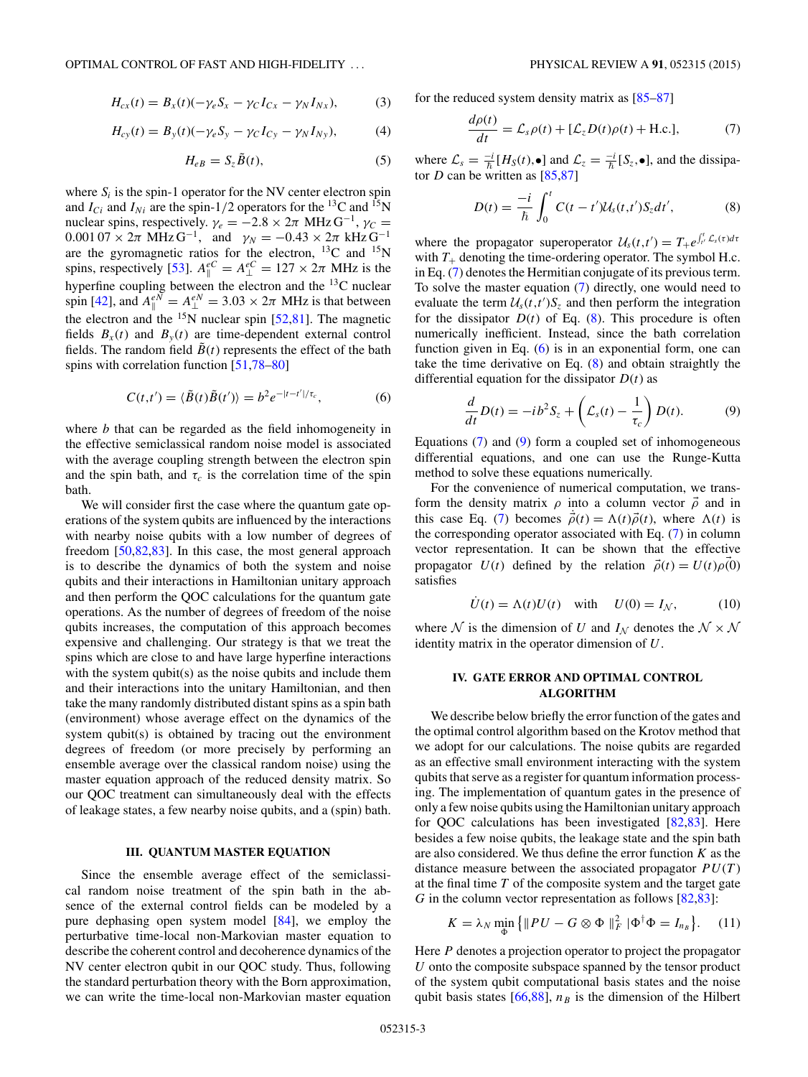<span id="page-2-0"></span>
$$
H_{cx}(t) = B_x(t)(-\gamma_e S_x - \gamma_C I_{Cx} - \gamma_N I_{Nx}), \qquad (3)
$$

$$
H_{cy}(t) = B_y(t)(-\gamma_e S_y - \gamma_C I_{Cy} - \gamma_N I_{Ny}), \qquad (4)
$$

$$
H_{eB} = S_z \tilde{B}(t),\tag{5}
$$

where  $S_i$  is the spin-1 operator for the NV center electron spin and  $I_{Ci}$  and  $I_{Ni}$  are the spin-1/2 operators for the <sup>13</sup>C and <sup>15</sup>N nuclear spins, respectively.  $\gamma_e = -2.8 \times 2\pi \text{ MHz G}^{-1}$ ,  $\gamma_C =$  $0.001\,07 \times 2\pi \text{ MHz } G^{-1}$ , and  $\gamma_N = -0.43 \times 2\pi \text{ kHz } G^{-1}$ are the gyromagnetic ratios for the electron,  $^{13}$ C and  $^{15}$ N spins, respectively [\[53\]](#page-9-0).  $A_{\parallel}^{eC} = A_{\perp}^{eC} = 127 \times 2\pi$  MHz is the hyperfine coupling between the electron and the  $^{13}$ C nuclear spin [\[42\]](#page-9-0), and  $A_{\parallel}^{eN} = A_{\perp}^{eN} = 3.03 \times 2\pi$  MHz is that between the electron and the  $15N$  nuclear spin [\[52](#page-9-0)[,81\]](#page-10-0). The magnetic fields  $B_x(t)$  and  $B_y(t)$  are time-dependent external control fields. The random field  $\tilde{B}(t)$  represents the effect of the bath spins with correlation function [\[51,](#page-9-0)[78–80\]](#page-10-0)

$$
C(t,t') = \langle \tilde{B}(t)\tilde{B}(t')\rangle = b^2 e^{-|t-t'|/\tau_c},\tag{6}
$$

where *b* that can be regarded as the field inhomogeneity in the effective semiclassical random noise model is associated with the average coupling strength between the electron spin and the spin bath, and  $\tau_c$  is the correlation time of the spin bath.

We will consider first the case where the quantum gate operations of the system qubits are influenced by the interactions with nearby noise qubits with a low number of degrees of freedom [\[50,](#page-9-0)[82,83\]](#page-10-0). In this case, the most general approach is to describe the dynamics of both the system and noise qubits and their interactions in Hamiltonian unitary approach and then perform the QOC calculations for the quantum gate operations. As the number of degrees of freedom of the noise qubits increases, the computation of this approach becomes expensive and challenging. Our strategy is that we treat the spins which are close to and have large hyperfine interactions with the system qubit(s) as the noise qubits and include them and their interactions into the unitary Hamiltonian, and then take the many randomly distributed distant spins as a spin bath (environment) whose average effect on the dynamics of the system qubit(s) is obtained by tracing out the environment degrees of freedom (or more precisely by performing an ensemble average over the classical random noise) using the master equation approach of the reduced density matrix. So our QOC treatment can simultaneously deal with the effects of leakage states, a few nearby noise qubits, and a (spin) bath.

## **III. QUANTUM MASTER EQUATION**

Since the ensemble average effect of the semiclassical random noise treatment of the spin bath in the absence of the external control fields can be modeled by a pure dephasing open system model [\[84\]](#page-10-0), we employ the perturbative time-local non-Markovian master equation to describe the coherent control and decoherence dynamics of the NV center electron qubit in our QOC study. Thus, following the standard perturbation theory with the Born approximation, we can write the time-local non-Markovian master equation for the reduced system density matrix as [\[85–87\]](#page-10-0)

$$
\frac{d\rho(t)}{dt} = \mathcal{L}_s \rho(t) + [\mathcal{L}_z D(t)\rho(t) + \text{H.c.}],\tag{7}
$$

where  $\mathcal{L}_s = \frac{-i}{\hbar} [H_s(t), \bullet]$  and  $\mathcal{L}_z = \frac{-i}{\hbar} [S_z, \bullet]$ , and the dissipator *D* can be written as  $[85,87]$ 

$$
D(t) = -\frac{i}{\hbar} \int_0^t C(t - t') \mathcal{U}_s(t, t') S_z dt', \tag{8}
$$

where the propagator superoperator  $U_s(t,t') = T_+ e^{\int_t^t E_s(\tau) d\tau}$ with  $T_+$  denoting the time-ordering operator. The symbol H.c. in Eq. (7) denotes the Hermitian conjugate of its previous term. To solve the master equation (7) directly, one would need to evaluate the term  $U_s(t,t')S_z$  and then perform the integration for the dissipator  $D(t)$  of Eq. (8). This procedure is often numerically inefficient. Instead, since the bath correlation function given in Eq. (6) is in an exponential form, one can take the time derivative on Eq. (8) and obtain straightly the differential equation for the dissipator  $D(t)$  as

$$
\frac{d}{dt}D(t) = -ib^2S_z + \left(\mathcal{L}_s(t) - \frac{1}{\tau_c}\right)D(t). \tag{9}
$$

Equations (7) and (9) form a coupled set of inhomogeneous differential equations, and one can use the Runge-Kutta method to solve these equations numerically.

For the convenience of numerical computation, we transform the density matrix  $\rho$  into a column vector  $\vec{\rho}$  and in this case Eq. (7) becomes  $\vec{\rho}(t) = \Lambda(t)\vec{\rho}(t)$ , where  $\Lambda(t)$  is the corresponding operator associated with Eq. (7) in column vector representation. It can be shown that the effective propagator  $U(t)$  defined by the relation  $\vec{\rho}(t) = U(t)\rho(0)$ satisfies

$$
\dot{U}(t) = \Lambda(t)U(t) \quad \text{with} \quad U(0) = I_N,\tag{10}
$$

where N is the dimension of U and  $I_N$  denotes the  $N \times N$ identity matrix in the operator dimension of *U*.

## **IV. GATE ERROR AND OPTIMAL CONTROL ALGORITHM**

We describe below briefly the error function of the gates and the optimal control algorithm based on the Krotov method that we adopt for our calculations. The noise qubits are regarded as an effective small environment interacting with the system qubits that serve as a register for quantum information processing. The implementation of quantum gates in the presence of only a few noise qubits using the Hamiltonian unitary approach for QOC calculations has been investigated [\[82,83\]](#page-10-0). Here besides a few noise qubits, the leakage state and the spin bath are also considered. We thus define the error function *K* as the distance measure between the associated propagator  $PU(T)$ at the final time *T* of the composite system and the target gate *G* in the column vector representation as follows [\[82,83\]](#page-10-0):

$$
K = \lambda_N \min_{\Phi} \left\{ \| P U - G \otimes \Phi \|_F^2 \, |\Phi^\dagger \Phi = I_{n_B} \right\}.
$$
 (11)

Here *P* denotes a projection operator to project the propagator *U* onto the composite subspace spanned by the tensor product of the system qubit computational basis states and the noise qubit basis states  $[66,88]$  $[66,88]$ ,  $n_B$  is the dimension of the Hilbert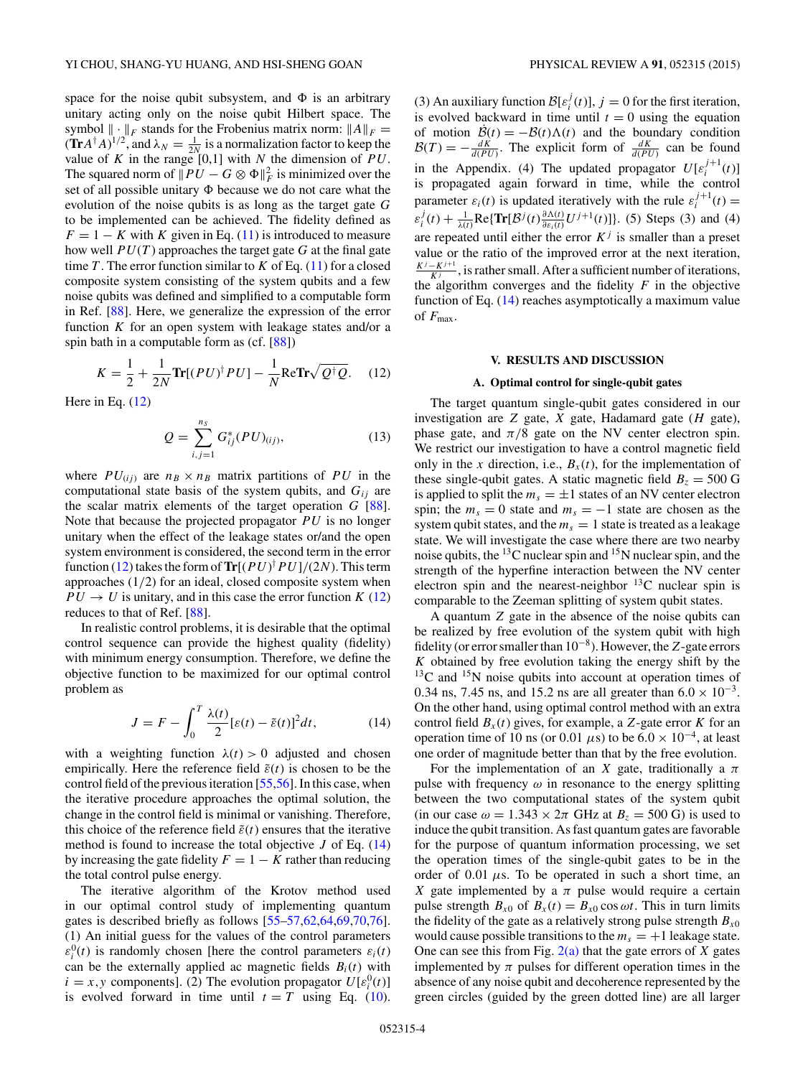<span id="page-3-0"></span>space for the noise qubit subsystem, and  $\Phi$  is an arbitrary unitary acting only on the noise qubit Hilbert space. The symbol  $\|\cdot\|_F$  stands for the Frobenius matrix norm:  $\|A\|_F =$  $({\bf Tr}A^{\dagger}A)^{1/2}$ , and  $\lambda_N = \frac{1}{2N}$  is a normalization factor to keep the value of *K* in the range  $[0,1]$  with *N* the dimension of  $PU$ . The squared norm of  $\Vert PU - G \otimes \Phi \Vert_F^2$  is minimized over the set of all possible unitary  $\Phi$  because we do not care what the evolution of the noise qubits is as long as the target gate *G* to be implemented can be achieved. The fidelity defined as  $F = 1 - K$  with *K* given in Eq. [\(11\)](#page-2-0) is introduced to measure how well  $PU(T)$  approaches the target gate G at the final gate time  $T$ . The error function similar to  $K$  of Eq. [\(11\)](#page-2-0) for a closed composite system consisting of the system qubits and a few noise qubits was defined and simplified to a computable form in Ref. [\[88\]](#page-10-0). Here, we generalize the expression of the error function *K* for an open system with leakage states and/or a spin bath in a computable form as (cf. [\[88\]](#page-10-0))

$$
K = \frac{1}{2} + \frac{1}{2N} \text{Tr}[(PU)^{\dagger} PU] - \frac{1}{N} \text{Re} \text{Tr} \sqrt{Q^{\dagger} Q}. \quad (12)
$$

Here in Eq. (12)

$$
Q = \sum_{i,j=1}^{n_S} G_{ij}^*(PU)_{(ij)},
$$
\n(13)

where  $PU(i)$  are  $n_B \times n_B$  matrix partitions of PU in the computational state basis of the system qubits, and *Gij* are the scalar matrix elements of the target operation *G* [\[88\]](#page-10-0). Note that because the projected propagator *PU* is no longer unitary when the effect of the leakage states or/and the open system environment is considered, the second term in the error function (12) takes the form of**Tr**[(*PU*) † *PU*]*/*(2*N*). This term approaches (1*/*2) for an ideal, closed composite system when  $PU \rightarrow U$  is unitary, and in this case the error function *K* (12) reduces to that of Ref. [\[88\]](#page-10-0).

In realistic control problems, it is desirable that the optimal control sequence can provide the highest quality (fidelity) with minimum energy consumption. Therefore, we define the objective function to be maximized for our optimal control problem as

$$
J = F - \int_0^T \frac{\lambda(t)}{2} [\varepsilon(t) - \tilde{\varepsilon}(t)]^2 dt,
$$
 (14)

with a weighting function  $\lambda(t) > 0$  adjusted and chosen empirically. Here the reference field  $\tilde{\varepsilon}(t)$  is chosen to be the control field of the previous iteration [\[55,56\]](#page-9-0). In this case, when the iterative procedure approaches the optimal solution, the change in the control field is minimal or vanishing. Therefore, this choice of the reference field  $\tilde{\varepsilon}(t)$  ensures that the iterative method is found to increase the total objective  $J$  of Eq.  $(14)$ by increasing the gate fidelity  $F = 1 - K$  rather than reducing the total control pulse energy.

The iterative algorithm of the Krotov method used in our optimal control study of implementing quantum gates is described briefly as follows [\[55–57,62,64,69,70,](#page-9-0)[76\]](#page-10-0). (1) An initial guess for the values of the control parameters  $\varepsilon_i^0(t)$  is randomly chosen [here the control parameters  $\varepsilon_i(t)$ can be the externally applied ac magnetic fields  $B_i(t)$  with  $i = x, y$  components]. (2) The evolution propagator  $U[\varepsilon_i^0(t)]$ is evolved forward in time until  $t = T$  using Eq. [\(10\)](#page-2-0).

(3) An auxiliary function  $\mathcal{B}[\varepsilon_i^j(t)]$ ,  $j = 0$  for the first iteration, is evolved backward in time until  $t = 0$  using the equation of motion  $\mathcal{B}(t) = -\mathcal{B}(t)\Lambda(t)$  and the boundary condition  $\mathcal{B}(T) = -\frac{dK}{d(PU)}$ . The explicit form of  $\frac{dK}{d(PU)}$  can be found in the Appendix. (4) The updated propagator  $U[\varepsilon_i^{j+1}(t)]$ is propagated again forward in time, while the control parameter  $\varepsilon_i(t)$  is updated iteratively with the rule  $\varepsilon_i^{j+1}(t)$  =  $\varepsilon_i^j(t) + \frac{1}{\lambda(t)} \text{Re} \{ \text{Tr}[\mathcal{B}^j(t) \frac{\partial \Lambda(t)}{\partial \varepsilon_i(t)} U^{j+1}(t)] \}$ . (5) Steps (3) and (4) are repeated until either the error  $K<sup>j</sup>$  is smaller than a preset value or the ratio of the improved error at the next iteration,  $\frac{K^j - K^{j+1}}{K^j}$ , is rather small. After a sufficient number of iterations, the algorithm converges and the fidelity  $F$  in the objective function of Eq. (14) reaches asymptotically a maximum value of  $F_{\text{max}}$ .

## **V. RESULTS AND DISCUSSION**

#### **A. Optimal control for single-qubit gates**

The target quantum single-qubit gates considered in our investigation are *Z* gate, *X* gate, Hadamard gate (*H* gate), phase gate, and  $\pi/8$  gate on the NV center electron spin. We restrict our investigation to have a control magnetic field only in the *x* direction, i.e.,  $B_x(t)$ , for the implementation of these single-qubit gates. A static magnetic field  $B_z = 500$  G is applied to split the  $m<sub>s</sub> = \pm 1$  states of an NV center electron spin; the  $m_s = 0$  state and  $m_s = -1$  state are chosen as the system qubit states, and the  $m<sub>s</sub> = 1$  state is treated as a leakage state. We will investigate the case where there are two nearby noise qubits, the 13C nuclear spin and 15N nuclear spin, and the strength of the hyperfine interaction between the NV center electron spin and the nearest-neighbor  $^{13}$ C nuclear spin is comparable to the Zeeman splitting of system qubit states.

A quantum *Z* gate in the absence of the noise qubits can be realized by free evolution of the system qubit with high fidelity (or error smaller than 10<sup>−</sup>8). However, the*Z*-gate errors *K* obtained by free evolution taking the energy shift by the  $13^{\circ}$ C and  $15^{\circ}$ N noise qubits into account at operation times of 0*.*34 ns, 7*.*45 ns, and 15*.*2 ns are all greater than 6*.*0 × 10<sup>−</sup>3. On the other hand, using optimal control method with an extra control field  $B_x(t)$  gives, for example, a *Z*-gate error *K* for an operation time of 10 ns (or 0.01  $\mu$ s) to be 6.0 × 10<sup>-4</sup>, at least one order of magnitude better than that by the free evolution.

For the implementation of an *X* gate, traditionally a  $\pi$ pulse with frequency  $\omega$  in resonance to the energy splitting between the two computational states of the system qubit (in our case  $\omega = 1.343 \times 2\pi$  GHz at  $B_z = 500$  G) is used to induce the qubit transition. As fast quantum gates are favorable for the purpose of quantum information processing, we set the operation times of the single-qubit gates to be in the order of 0.01  $\mu$ s. To be operated in such a short time, an *X* gate implemented by a  $\pi$  pulse would require a certain pulse strength  $B_{x0}$  of  $B_x(t) = B_{x0} \cos \omega t$ . This in turn limits the fidelity of the gate as a relatively strong pulse strength  $B_{x0}$ would cause possible transitions to the  $m<sub>s</sub> = +1$  leakage state. One can see this from Fig. [2\(a\)](#page-4-0) that the gate errors of *X* gates implemented by  $\pi$  pulses for different operation times in the absence of any noise qubit and decoherence represented by the green circles (guided by the green dotted line) are all larger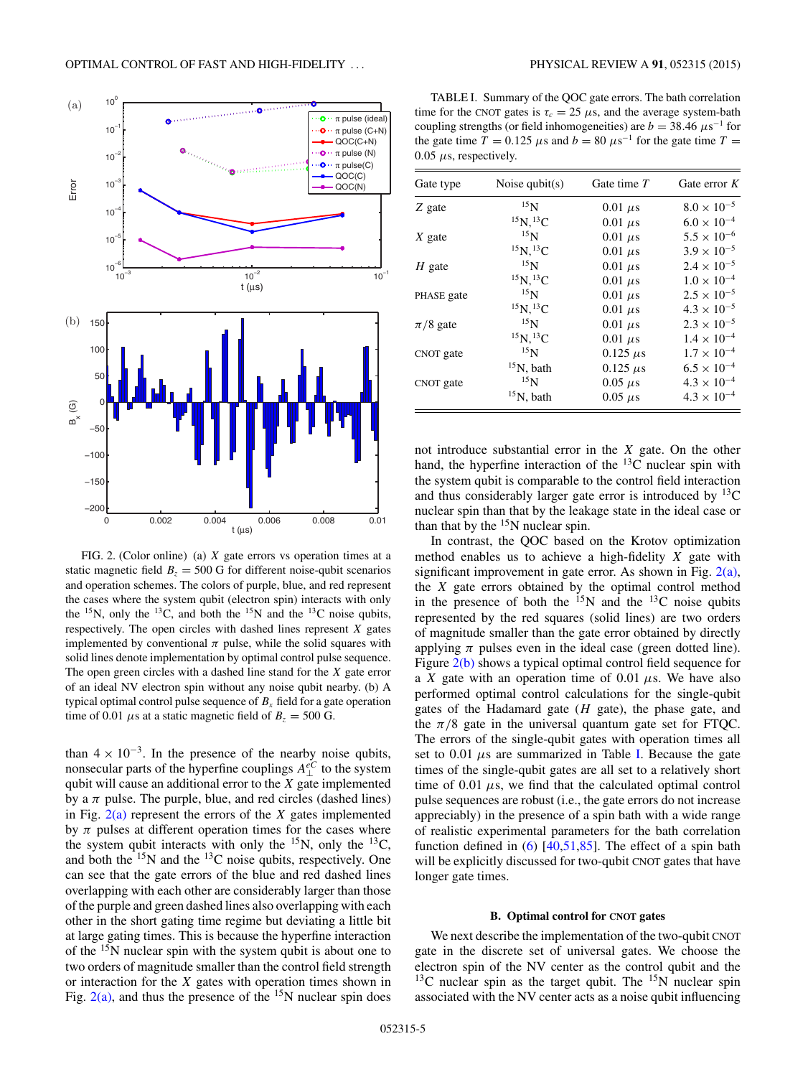<span id="page-4-0"></span>

FIG. 2. (Color online) (a) *X* gate errors vs operation times at a static magnetic field  $B<sub>z</sub> = 500$  G for different noise-qubit scenarios and operation schemes. The colors of purple, blue, and red represent the cases where the system qubit (electron spin) interacts with only the  $^{15}N$ , only the  $^{13}C$ , and both the  $^{15}N$  and the  $^{13}C$  noise qubits, respectively. The open circles with dashed lines represent *X* gates implemented by conventional  $\pi$  pulse, while the solid squares with solid lines denote implementation by optimal control pulse sequence. The open green circles with a dashed line stand for the *X* gate error of an ideal NV electron spin without any noise qubit nearby. (b) A typical optimal control pulse sequence of  $B_x$  field for a gate operation time of 0.01  $\mu$ s at a static magnetic field of  $B_z = 500$  G.

than  $4 \times 10^{-3}$ . In the presence of the nearby noise qubits, nonsecular parts of the hyperfine couplings  $A_{\perp}^{eC}$  to the system qubit will cause an additional error to the *X* gate implemented by a  $\pi$  pulse. The purple, blue, and red circles (dashed lines) in Fig. 2(a) represent the errors of the *X* gates implemented by  $\pi$  pulses at different operation times for the cases where the system qubit interacts with only the  $^{15}N$ , only the  $^{13}C$ , and both the  $15N$  and the  $13C$  noise qubits, respectively. One can see that the gate errors of the blue and red dashed lines overlapping with each other are considerably larger than those of the purple and green dashed lines also overlapping with each other in the short gating time regime but deviating a little bit at large gating times. This is because the hyperfine interaction of the  $15N$  nuclear spin with the system qubit is about one to two orders of magnitude smaller than the control field strength or interaction for the *X* gates with operation times shown in Fig.  $2(a)$ , and thus the presence of the <sup>15</sup>N nuclear spin does

TABLE I. Summary of the QOC gate errors. The bath correlation time for the CNOT gates is  $\tau_c = 25 \mu s$ , and the average system-bath coupling strengths (or field inhomogeneities) are  $b = 38.46 \ \mu s^{-1}$  for the gate time  $T = 0.125 \mu s$  and  $b = 80 \mu s^{-1}$  for the gate time  $T =$  $0.05 \mu s$ , respectively.

| Gate type    | Noise $qubit(s)$     | Gate time $T$  | Gate error $K$       |
|--------------|----------------------|----------------|----------------------|
| Z gate       | 15 <sub>N</sub>      | $0.01 \ \mu s$ | $8.0 \times 10^{-5}$ |
|              | ${}^{15}N, {}^{13}C$ | $0.01 \mu s$   | $6.0 \times 10^{-4}$ |
| $X$ gate     | $^{15}N$             | $0.01 \mu s$   | $5.5 \times 10^{-6}$ |
|              | ${}^{15}N, {}^{13}C$ | $0.01 \mu s$   | $3.9 \times 10^{-5}$ |
| $H$ gate     | 15 <sub>N</sub>      | $0.01 \mu s$   | $2.4 \times 10^{-5}$ |
|              | ${}^{15}N, {}^{13}C$ | $0.01 \mu s$   | $1.0 \times 10^{-4}$ |
| PHASE gate   | $^{15}N$             | $0.01 \ \mu s$ | $2.5 \times 10^{-5}$ |
|              | ${}^{15}N, {}^{13}C$ | $0.01 \mu s$   | $4.3 \times 10^{-5}$ |
| $\pi/8$ gate | $^{15}N$             | $0.01 \mu s$   | $2.3 \times 10^{-5}$ |
|              | ${}^{15}N, {}^{13}C$ | $0.01 \mu s$   | $1.4 \times 10^{-4}$ |
| CNOT gate    | $^{15}$ N            | $0.125 \mu s$  | $1.7 \times 10^{-4}$ |
|              | $15N$ , bath         | $0.125 \mu s$  | $6.5 \times 10^{-4}$ |
| CNOT gate    | 15 <sub>N</sub>      | $0.05 \mu s$   | $4.3 \times 10^{-4}$ |
|              | $15N$ , bath         | $0.05 \mu s$   | $4.3 \times 10^{-4}$ |

not introduce substantial error in the *X* gate. On the other hand, the hyperfine interaction of the  ${}^{13}$ C nuclear spin with the system qubit is comparable to the control field interaction and thus considerably larger gate error is introduced by  $^{13}$ C nuclear spin than that by the leakage state in the ideal case or than that by the  $15N$  nuclear spin.

In contrast, the QOC based on the Krotov optimization method enables us to achieve a high-fidelity *X* gate with significant improvement in gate error. As shown in Fig. 2(a), the *X* gate errors obtained by the optimal control method in the presence of both the  $^{15}N$  and the  $^{13}C$  noise qubits represented by the red squares (solid lines) are two orders of magnitude smaller than the gate error obtained by directly applying  $\pi$  pulses even in the ideal case (green dotted line). Figure 2(b) shows a typical optimal control field sequence for a *X* gate with an operation time of 0.01  $\mu$ s. We have also performed optimal control calculations for the single-qubit gates of the Hadamard gate (*H* gate), the phase gate, and the  $\pi/8$  gate in the universal quantum gate set for FTQC. The errors of the single-qubit gates with operation times all set to  $0.01 \mu s$  are summarized in Table I. Because the gate times of the single-qubit gates are all set to a relatively short time of  $0.01 \mu s$ , we find that the calculated optimal control pulse sequences are robust (i.e., the gate errors do not increase appreciably) in the presence of a spin bath with a wide range of realistic experimental parameters for the bath correlation function defined in  $(6)$  [\[40,51,](#page-9-0)[85\]](#page-10-0). The effect of a spin bath will be explicitly discussed for two-qubit CNOT gates that have longer gate times.

# **B. Optimal control for CNOT gates**

We next describe the implementation of the two-qubit CNOT gate in the discrete set of universal gates. We choose the electron spin of the NV center as the control qubit and the  $^{13}$ C nuclear spin as the target qubit. The  $^{15}$ N nuclear spin associated with the NV center acts as a noise qubit influencing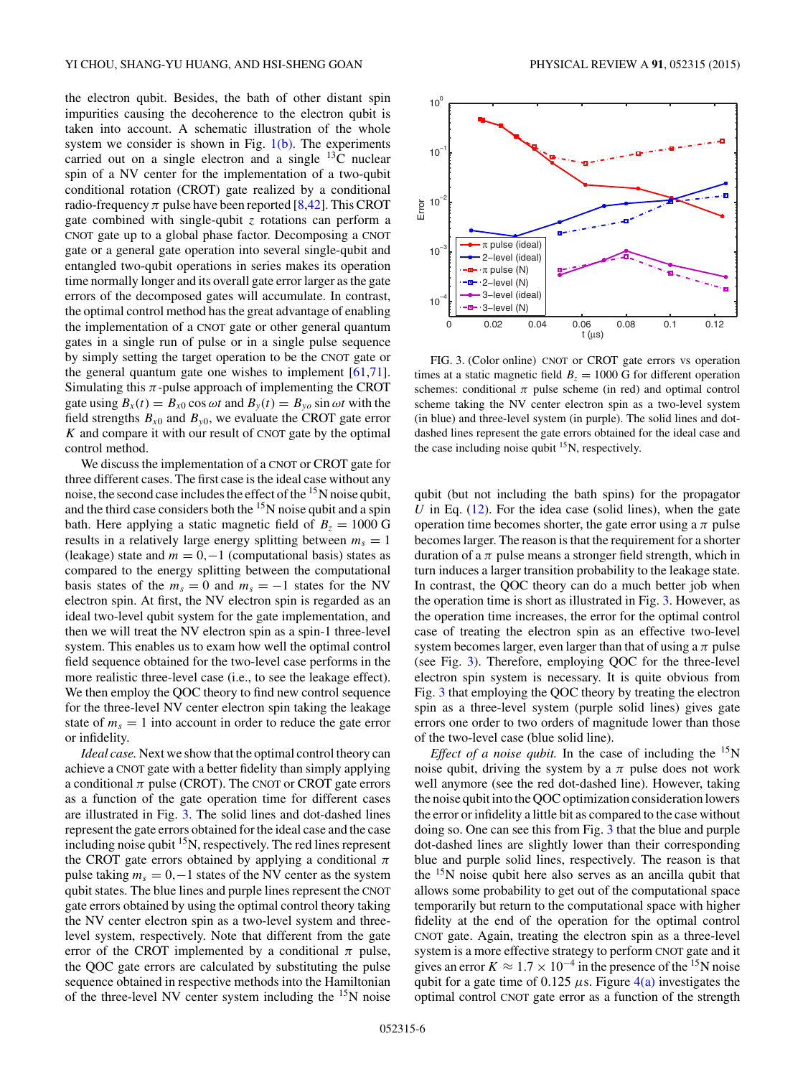the electron qubit. Besides, the bath of other distant spin impurities causing the decoherence to the electron qubit is taken into account. A schematic illustration of the whole system we consider is shown in Fig.  $1(b)$ . The experiments carried out on a single electron and a single  $^{13}$ C nuclear spin of a NV center for the implementation of a two-qubit conditional rotation (CROT) gate realized by a conditional radio-frequency  $\pi$  pulse have been reported [\[8](#page-8-0)[,42\]](#page-9-0). This CROT gate combined with single-qubit *z* rotations can perform a CNOT gate up to a global phase factor. Decomposing a CNOT gate or a general gate operation into several single-qubit and entangled two-qubit operations in series makes its operation time normally longer and its overall gate error larger as the gate errors of the decomposed gates will accumulate. In contrast, the optimal control method has the great advantage of enabling the implementation of a CNOT gate or other general quantum gates in a single run of pulse or in a single pulse sequence by simply setting the target operation to be the CNOT gate or the general quantum gate one wishes to implement [\[61,71\]](#page-9-0). Simulating this  $\pi$ -pulse approach of implementing the CROT gate using  $B_x(t) = B_{x0} \cos \omega t$  and  $B_y(t) = B_{y0} \sin \omega t$  with the field strengths  $B_{x0}$  and  $B_{y0}$ , we evaluate the CROT gate error *K* and compare it with our result of CNOT gate by the optimal control method.

We discuss the implementation of a CNOT or CROT gate for three different cases. The first case is the ideal case without any noise, the second case includes the effect of the 15N noise qubit, and the third case considers both the <sup>15</sup>N noise qubit and a spin bath. Here applying a static magnetic field of  $B_z = 1000 \text{ G}$ results in a relatively large energy splitting between  $m_s = 1$ (leakage) state and  $m = 0, -1$  (computational basis) states as compared to the energy splitting between the computational basis states of the  $m_s = 0$  and  $m_s = -1$  states for the NV electron spin. At first, the NV electron spin is regarded as an ideal two-level qubit system for the gate implementation, and then we will treat the NV electron spin as a spin-1 three-level system. This enables us to exam how well the optimal control field sequence obtained for the two-level case performs in the more realistic three-level case (i.e., to see the leakage effect). We then employ the QOC theory to find new control sequence for the three-level NV center electron spin taking the leakage state of  $m_s = 1$  into account in order to reduce the gate error or infidelity.

*Ideal case.* Next we show that the optimal control theory can achieve a CNOT gate with a better fidelity than simply applying a conditional  $\pi$  pulse (CROT). The CNOT or CROT gate errors as a function of the gate operation time for different cases are illustrated in Fig. 3. The solid lines and dot-dashed lines represent the gate errors obtained for the ideal case and the case including noise qubit 15N, respectively. The red lines represent the CROT gate errors obtained by applying a conditional *π* pulse taking  $m_s = 0, -1$  states of the NV center as the system qubit states. The blue lines and purple lines represent the CNOT gate errors obtained by using the optimal control theory taking the NV center electron spin as a two-level system and threelevel system, respectively. Note that different from the gate error of the CROT implemented by a conditional  $\pi$  pulse, the QOC gate errors are calculated by substituting the pulse sequence obtained in respective methods into the Hamiltonian of the three-level NV center system including the 15N noise



FIG. 3. (Color online) CNOT or CROT gate errors vs operation times at a static magnetic field  $B_z = 1000$  G for different operation schemes: conditional  $\pi$  pulse scheme (in red) and optimal control scheme taking the NV center electron spin as a two-level system (in blue) and three-level system (in purple). The solid lines and dotdashed lines represent the gate errors obtained for the ideal case and the case including noise qubit  $^{15}N$ , respectively.

qubit (but not including the bath spins) for the propagator *U* in Eq.  $(12)$ . For the idea case (solid lines), when the gate operation time becomes shorter, the gate error using a  $\pi$  pulse becomes larger. The reason is that the requirement for a shorter duration of a  $\pi$  pulse means a stronger field strength, which in turn induces a larger transition probability to the leakage state. In contrast, the QOC theory can do a much better job when the operation time is short as illustrated in Fig. 3. However, as the operation time increases, the error for the optimal control case of treating the electron spin as an effective two-level system becomes larger, even larger than that of using a  $\pi$  pulse (see Fig. 3). Therefore, employing QOC for the three-level electron spin system is necessary. It is quite obvious from Fig. 3 that employing the QOC theory by treating the electron spin as a three-level system (purple solid lines) gives gate errors one order to two orders of magnitude lower than those of the two-level case (blue solid line).

*Effect of a noise qubit.* In the case of including the  $^{15}$ N noise qubit, driving the system by a  $\pi$  pulse does not work well anymore (see the red dot-dashed line). However, taking the noise qubit into the QOC optimization consideration lowers the error or infidelity a little bit as compared to the case without doing so. One can see this from Fig. 3 that the blue and purple dot-dashed lines are slightly lower than their corresponding blue and purple solid lines, respectively. The reason is that the  $15N$  noise qubit here also serves as an ancilla qubit that allows some probability to get out of the computational space temporarily but return to the computational space with higher fidelity at the end of the operation for the optimal control CNOT gate. Again, treating the electron spin as a three-level system is a more effective strategy to perform CNOT gate and it gives an error  $K \approx 1.7 \times 10^{-4}$  in the presence of the <sup>15</sup>N noise qubit for a gate time of 0.125  $\mu$ s. Figure [4\(a\)](#page-6-0) investigates the optimal control CNOT gate error as a function of the strength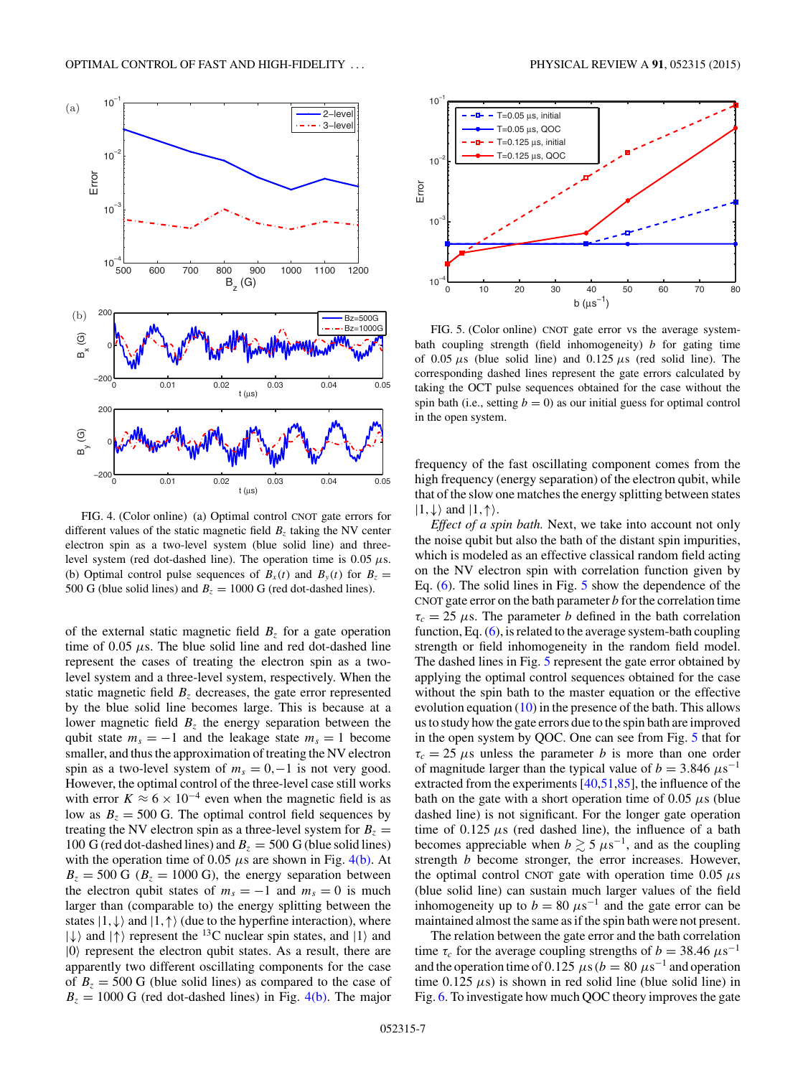<span id="page-6-0"></span>

FIG. 4. (Color online) (a) Optimal control CNOT gate errors for different values of the static magnetic field  $B<sub>z</sub>$  taking the NV center electron spin as a two-level system (blue solid line) and threelevel system (red dot-dashed line). The operation time is 0*.*05 *μ*s. (b) Optimal control pulse sequences of  $B_x(t)$  and  $B_y(t)$  for  $B_z =$ 500 G (blue solid lines) and  $B_z = 1000$  G (red dot-dashed lines).

of the external static magnetic field  $B<sub>z</sub>$  for a gate operation time of  $0.05 \mu s$ . The blue solid line and red dot-dashed line represent the cases of treating the electron spin as a twolevel system and a three-level system, respectively. When the static magnetic field  $B<sub>z</sub>$  decreases, the gate error represented by the blue solid line becomes large. This is because at a lower magnetic field  $B<sub>z</sub>$  the energy separation between the qubit state  $m_s = -1$  and the leakage state  $m_s = 1$  become smaller, and thus the approximation of treating the NV electron spin as a two-level system of  $m_s = 0, -1$  is not very good. However, the optimal control of the three-level case still works with error  $K \approx 6 \times 10^{-4}$  even when the magnetic field is as low as  $B_z = 500$  G. The optimal control field sequences by treating the NV electron spin as a three-level system for  $B_z =$ 100 G (red dot-dashed lines) and  $B_z = 500$  G (blue solid lines) with the operation time of 0.05  $\mu$ s are shown in Fig. 4(b). At  $B_z = 500$  G ( $B_z = 1000$  G), the energy separation between the electron qubit states of  $m_s = -1$  and  $m_s = 0$  is much larger than (comparable to) the energy splitting between the states  $|1,\downarrow\rangle$  and  $|1,\uparrow\rangle$  (due to the hyperfine interaction), where  $|\downarrow\rangle$  and  $|\uparrow\rangle$  represent the <sup>13</sup>C nuclear spin states, and  $|1\rangle$  and  $|0\rangle$  represent the electron qubit states. As a result, there are apparently two different oscillating components for the case of  $B_z = 500$  G (blue solid lines) as compared to the case of  $B_z = 1000$  G (red dot-dashed lines) in Fig. 4(b). The major



FIG. 5. (Color online) CNOT gate error vs the average systembath coupling strength (field inhomogeneity) *b* for gating time of 0.05  $\mu$ s (blue solid line) and 0.125  $\mu$ s (red solid line). The corresponding dashed lines represent the gate errors calculated by taking the OCT pulse sequences obtained for the case without the spin bath (i.e., setting  $b = 0$ ) as our initial guess for optimal control in the open system.

frequency of the fast oscillating component comes from the high frequency (energy separation) of the electron qubit, while that of the slow one matches the energy splitting between states  $|1,\downarrow\rangle$  and  $|1,\uparrow\rangle$ .

*Effect of a spin bath.* Next, we take into account not only the noise qubit but also the bath of the distant spin impurities, which is modeled as an effective classical random field acting on the NV electron spin with correlation function given by Eq. [\(6\)](#page-2-0). The solid lines in Fig. 5 show the dependence of the CNOT gate error on the bath parameter *b* for the correlation time  $\tau_c = 25 \mu s$ . The parameter *b* defined in the bath correlation function, Eq. [\(6\)](#page-2-0), is related to the average system-bath coupling strength or field inhomogeneity in the random field model. The dashed lines in Fig. 5 represent the gate error obtained by applying the optimal control sequences obtained for the case without the spin bath to the master equation or the effective evolution equation [\(10\)](#page-2-0) in the presence of the bath. This allows us to study how the gate errors due to the spin bath are improved in the open system by QOC. One can see from Fig. 5 that for  $\tau_c = 25 \mu s$  unless the parameter *b* is more than one order of magnitude larger than the typical value of  $b = 3.846 \ \mu s^{-1}$ extracted from the experiments [\[40,51,](#page-9-0)[85\]](#page-10-0), the influence of the bath on the gate with a short operation time of 0.05  $\mu$ s (blue dashed line) is not significant. For the longer gate operation time of  $0.125 \mu s$  (red dashed line), the influence of a bath becomes appreciable when  $b \gtrsim 5 \mu s^{-1}$ , and as the coupling strength *b* become stronger, the error increases. However, the optimal control CNOT gate with operation time 0*.*05 *μ*s (blue solid line) can sustain much larger values of the field inhomogeneity up to  $b = 80 \mu s^{-1}$  and the gate error can be maintained almost the same as if the spin bath were not present.

The relation between the gate error and the bath correlation time  $\tau_c$  for the average coupling strengths of *b* = 38.46  $\mu$ s<sup>-1</sup> and the operation time of 0.125  $\mu$ s ( $b = 80 \mu$ s<sup>-1</sup> and operation time  $0.125 \mu s$ ) is shown in red solid line (blue solid line) in Fig. [6.](#page-7-0) To investigate how much QOC theory improves the gate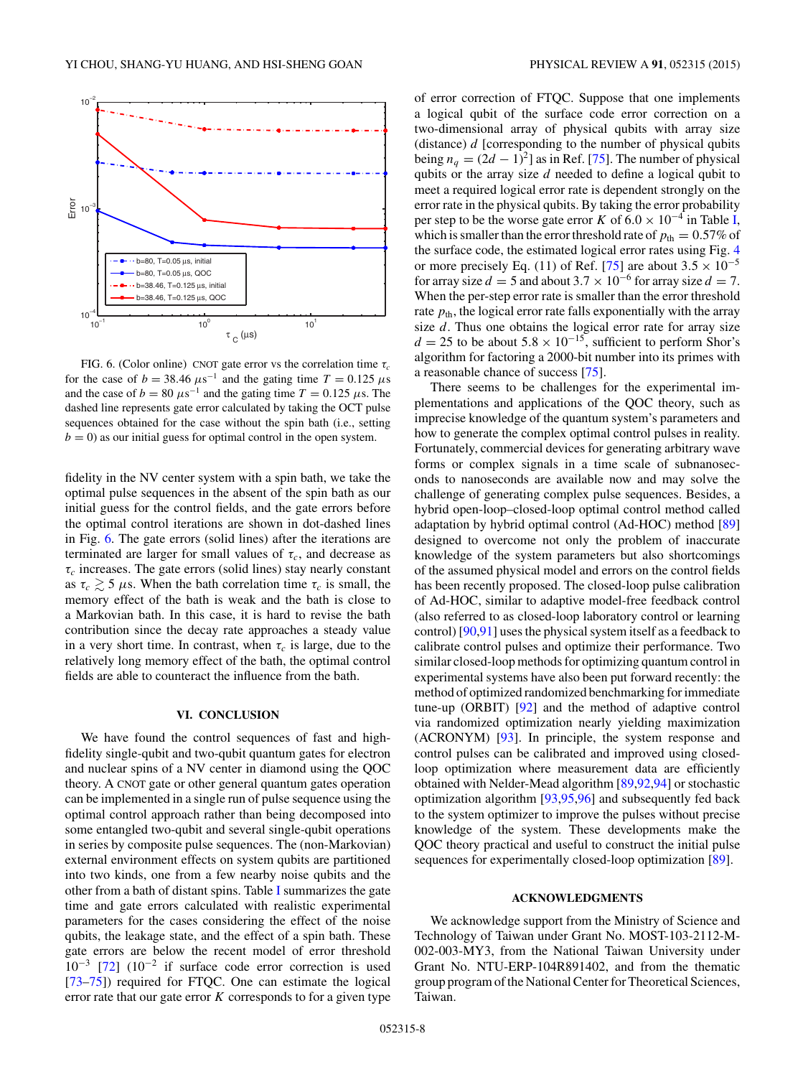<span id="page-7-0"></span>

FIG. 6. (Color online) CNOT gate error vs the correlation time  $\tau_c$ for the case of  $b = 38.46 \ \mu s^{-1}$  and the gating time  $T = 0.125 \ \mu s$ and the case of  $b = 80 \mu s^{-1}$  and the gating time  $T = 0.125 \mu s$ . The dashed line represents gate error calculated by taking the OCT pulse sequences obtained for the case without the spin bath (i.e., setting  $b = 0$ ) as our initial guess for optimal control in the open system.

fidelity in the NV center system with a spin bath, we take the optimal pulse sequences in the absent of the spin bath as our initial guess for the control fields, and the gate errors before the optimal control iterations are shown in dot-dashed lines in Fig. 6. The gate errors (solid lines) after the iterations are terminated are larger for small values of  $\tau_c$ , and decrease as  $\tau_c$  increases. The gate errors (solid lines) stay nearly constant as  $\tau_c \gtrsim 5 \mu$ s. When the bath correlation time  $\tau_c$  is small, the memory effect of the bath is weak and the bath is close to a Markovian bath. In this case, it is hard to revise the bath contribution since the decay rate approaches a steady value in a very short time. In contrast, when  $\tau_c$  is large, due to the relatively long memory effect of the bath, the optimal control fields are able to counteract the influence from the bath.

## **VI. CONCLUSION**

We have found the control sequences of fast and highfidelity single-qubit and two-qubit quantum gates for electron and nuclear spins of a NV center in diamond using the QOC theory. A CNOT gate or other general quantum gates operation can be implemented in a single run of pulse sequence using the optimal control approach rather than being decomposed into some entangled two-qubit and several single-qubit operations in series by composite pulse sequences. The (non-Markovian) external environment effects on system qubits are partitioned into two kinds, one from a few nearby noise qubits and the other from a bath of distant spins. Table [I](#page-4-0) summarizes the gate time and gate errors calculated with realistic experimental parameters for the cases considering the effect of the noise qubits, the leakage state, and the effect of a spin bath. These gate errors are below the recent model of error threshold  $10^{-3}$  [\[72\]](#page-9-0)  $(10^{-2}$  if surface code error correction is used [\[73](#page-9-0)[–75\]](#page-10-0)) required for FTQC. One can estimate the logical error rate that our gate error *K* corresponds to for a given type

of error correction of FTQC. Suppose that one implements a logical qubit of the surface code error correction on a two-dimensional array of physical qubits with array size (distance) *d* [corresponding to the number of physical qubits being  $n_q = (2d - 1)^2$  as in Ref. [\[75\]](#page-10-0). The number of physical qubits or the array size *d* needed to define a logical qubit to meet a required logical error rate is dependent strongly on the error rate in the physical qubits. By taking the error probability per step to be the worse gate error *K* of  $6.0 \times 10^{-4}$  in Table [I,](#page-4-0) which is smaller than the error threshold rate of  $p_{th} = 0.57\%$  of the surface code, the estimated logical error rates using Fig. [4](#page-6-0) or more precisely Eq. (11) of Ref. [\[75\]](#page-10-0) are about  $3.5 \times 10^{-5}$ for array size  $d = 5$  and about  $3.7 \times 10^{-6}$  for array size  $d = 7$ . When the per-step error rate is smaller than the error threshold rate  $p_{th}$ , the logical error rate falls exponentially with the array size *d*. Thus one obtains the logical error rate for array size  $d = 25$  to be about  $5.8 \times 10^{-15}$ , sufficient to perform Shor's algorithm for factoring a 2000-bit number into its primes with a reasonable chance of success [\[75\]](#page-10-0).

There seems to be challenges for the experimental implementations and applications of the QOC theory, such as imprecise knowledge of the quantum system's parameters and how to generate the complex optimal control pulses in reality. Fortunately, commercial devices for generating arbitrary wave forms or complex signals in a time scale of subnanoseconds to nanoseconds are available now and may solve the challenge of generating complex pulse sequences. Besides, a hybrid open-loop–closed-loop optimal control method called adaptation by hybrid optimal control (Ad-HOC) method [\[89\]](#page-10-0) designed to overcome not only the problem of inaccurate knowledge of the system parameters but also shortcomings of the assumed physical model and errors on the control fields has been recently proposed. The closed-loop pulse calibration of Ad-HOC, similar to adaptive model-free feedback control (also referred to as closed-loop laboratory control or learning control) [\[90,91\]](#page-10-0) uses the physical system itself as a feedback to calibrate control pulses and optimize their performance. Two similar closed-loop methods for optimizing quantum control in experimental systems have also been put forward recently: the method of optimized randomized benchmarking for immediate tune-up (ORBIT) [\[92\]](#page-10-0) and the method of adaptive control via randomized optimization nearly yielding maximization (ACRONYM) [\[93\]](#page-10-0). In principle, the system response and control pulses can be calibrated and improved using closedloop optimization where measurement data are efficiently obtained with Nelder-Mead algorithm [\[89,92,94\]](#page-10-0) or stochastic optimization algorithm [\[93,95,96\]](#page-10-0) and subsequently fed back to the system optimizer to improve the pulses without precise knowledge of the system. These developments make the QOC theory practical and useful to construct the initial pulse sequences for experimentally closed-loop optimization [\[89\]](#page-10-0).

# **ACKNOWLEDGMENTS**

We acknowledge support from the Ministry of Science and Technology of Taiwan under Grant No. MOST-103-2112-M-002-003-MY3, from the National Taiwan University under Grant No. NTU-ERP-104R891402, and from the thematic group program of the National Center for Theoretical Sciences, Taiwan.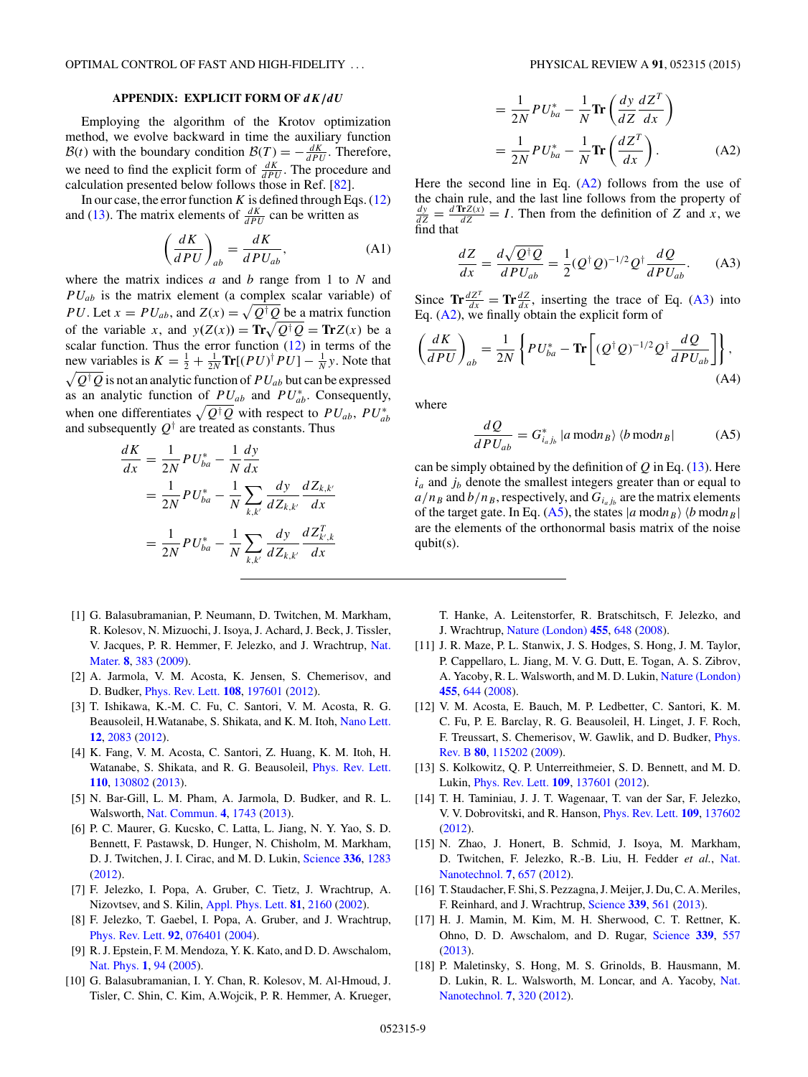# **APPENDIX: EXPLICIT FORM OF** *d K/dU*

<span id="page-8-0"></span>Employing the algorithm of the Krotov optimization method, we evolve backward in time the auxiliary function  $\mathcal{B}(t)$  with the boundary condition  $\mathcal{B}(T) = -\frac{dK}{dPU}$ . Therefore, we need to find the explicit form of  $\frac{dK}{dPU}$ . The procedure and calculation presented below follows those in Ref. [\[82\]](#page-10-0).

In our case, the error function  $K$  is defined through Eqs. [\(12\)](#page-3-0) and [\(13\)](#page-3-0). The matrix elements of  $\frac{dK}{dPU}$  can be written as

$$
\left(\frac{dK}{dPU}\right)_{ab} = \frac{dK}{dPU_{ab}},\tag{A1}
$$

where the matrix indices *a* and *b* range from 1 to *N* and *PUab* is the matrix element (a complex scalar variable) of *PU*. Let  $x = PU_{ab}$ , and  $Z(x) = \sqrt{Q^{\dagger}Q}$  be a matrix function of the variable *x*, and  $y(Z(x)) = Tr\sqrt{Q^{\dagger}Q} = TrZ(x)$  be a scalar function. Thus the error function [\(12\)](#page-3-0) in terms of the new variables is  $K = \frac{1}{2} + \frac{1}{2N} \text{Tr}[(PU)^{\dagger}PU] - \frac{1}{N}y$ . Note that  $\sqrt{\mathcal{Q}^{\dagger}\mathcal{Q}}$  is not an analytic function of  $PU_{ab}$  but can be expressed as an analytic function of  $PU_{ab}$  and  $PU_{ab}^*$ . Consequently, when one differentiates  $\sqrt{Q^{\dagger}Q}$  with respect to  $PU_{ab}$ ,  $PU_{ab}^*$ and subsequently  $Q^{\dagger}$  are treated as constants. Thus

$$
\frac{dK}{dx} = \frac{1}{2N} P U_{ba}^* - \frac{1}{N} \frac{dy}{dx}
$$

$$
= \frac{1}{2N} P U_{ba}^* - \frac{1}{N} \sum_{k,k'} \frac{dy}{dZ_{k,k'}} \frac{dZ_{k,k'}}{dx}
$$

$$
= \frac{1}{2N} P U_{ba}^* - \frac{1}{N} \sum_{k,k'} \frac{dy}{dZ_{k,k'}} \frac{dZ_{k',k}^T}{dx}
$$

- [1] G. Balasubramanian, P. Neumann, D. Twitchen, M. Markham, R. Kolesov, N. Mizuochi, J. Isoya, J. Achard, J. Beck, J. Tissler, [V. Jacques, P. R. Hemmer, F. Jelezko, and J. Wrachtrup,](http://dx.doi.org/10.1038/nmat2420) Nat. Mater. **[8](http://dx.doi.org/10.1038/nmat2420)**, [383](http://dx.doi.org/10.1038/nmat2420) [\(2009\)](http://dx.doi.org/10.1038/nmat2420).
- [2] A. Jarmola, V. M. Acosta, K. Jensen, S. Chemerisov, and D. Budker, [Phys. Rev. Lett.](http://dx.doi.org/10.1103/PhysRevLett.108.197601) **[108](http://dx.doi.org/10.1103/PhysRevLett.108.197601)**, [197601](http://dx.doi.org/10.1103/PhysRevLett.108.197601) [\(2012\)](http://dx.doi.org/10.1103/PhysRevLett.108.197601).
- [3] T. Ishikawa, K.-M. C. Fu, C. Santori, V. M. Acosta, R. G. Beausoleil, H.Watanabe, S. Shikata, and K. M. Itoh, [Nano Lett.](http://dx.doi.org/10.1021/nl300350r) **[12](http://dx.doi.org/10.1021/nl300350r)**, [2083](http://dx.doi.org/10.1021/nl300350r) [\(2012\)](http://dx.doi.org/10.1021/nl300350r).
- [4] K. Fang, V. M. Acosta, C. Santori, Z. Huang, K. M. Itoh, H. Watanabe, S. Shikata, and R. G. Beausoleil, [Phys. Rev. Lett.](http://dx.doi.org/10.1103/PhysRevLett.110.130802) **[110](http://dx.doi.org/10.1103/PhysRevLett.110.130802)**, [130802](http://dx.doi.org/10.1103/PhysRevLett.110.130802) [\(2013\)](http://dx.doi.org/10.1103/PhysRevLett.110.130802).
- [5] N. Bar-Gill, L. M. Pham, A. Jarmola, D. Budker, and R. L. Walsworth, [Nat. Commun.](http://dx.doi.org/10.1038/ncomms2771) **[4](http://dx.doi.org/10.1038/ncomms2771)**, [1743](http://dx.doi.org/10.1038/ncomms2771) [\(2013\)](http://dx.doi.org/10.1038/ncomms2771).
- [6] P. C. Maurer, G. Kucsko, C. Latta, L. Jiang, N. Y. Yao, S. D. Bennett, F. Pastawsk, D. Hunger, N. Chisholm, M. Markham, D. J. Twitchen, J. I. Cirac, and M. D. Lukin, [Science](http://dx.doi.org/10.1126/science.1220513) **[336](http://dx.doi.org/10.1126/science.1220513)**, [1283](http://dx.doi.org/10.1126/science.1220513) [\(2012\)](http://dx.doi.org/10.1126/science.1220513).
- [7] F. Jelezko, I. Popa, A. Gruber, C. Tietz, J. Wrachtrup, A. Nizovtsev, and S. Kilin, [Appl. Phys. Lett.](http://dx.doi.org/10.1063/1.1507838) **[81](http://dx.doi.org/10.1063/1.1507838)**, [2160](http://dx.doi.org/10.1063/1.1507838) [\(2002\)](http://dx.doi.org/10.1063/1.1507838).
- [8] F. Jelezko, T. Gaebel, I. Popa, A. Gruber, and J. Wrachtrup, [Phys. Rev. Lett.](http://dx.doi.org/10.1103/PhysRevLett.92.076401) **[92](http://dx.doi.org/10.1103/PhysRevLett.92.076401)**, [076401](http://dx.doi.org/10.1103/PhysRevLett.92.076401) [\(2004\)](http://dx.doi.org/10.1103/PhysRevLett.92.076401).
- [9] R. J. Epstein, F. M. Mendoza, Y. K. Kato, and D. D. Awschalom, [Nat. Phys.](http://dx.doi.org/10.1038/nphys141) **[1](http://dx.doi.org/10.1038/nphys141)**, [94](http://dx.doi.org/10.1038/nphys141) [\(2005\)](http://dx.doi.org/10.1038/nphys141).
- [10] G. Balasubramanian, I. Y. Chan, R. Kolesov, M. Al-Hmoud, J. Tisler, C. Shin, C. Kim, A.Wojcik, P. R. Hemmer, A. Krueger,

$$
= \frac{1}{2N}PU_{ba}^{*} - \frac{1}{N}\mathbf{Tr}\left(\frac{dy}{dZ}\frac{dZ^{T}}{dx}\right)
$$

$$
= \frac{1}{2N}PU_{ba}^{*} - \frac{1}{N}\mathbf{Tr}\left(\frac{dZ^{T}}{dx}\right).
$$
(A2)

Here the second line in Eq.  $(A2)$  follows from the use of the chain rule, and the last line follows from the property of  $\frac{dy}{dZ} = \frac{d\text{Tr}Z(x)}{dZ} = I$ . Then from the definition of *Z* and *x*, we find that

$$
\frac{dZ}{dx} = \frac{d\sqrt{Q^{\dagger}Q}}{dPU_{ab}} = \frac{1}{2}(Q^{\dagger}Q)^{-1/2}Q^{\dagger}\frac{dQ}{dPU_{ab}}.
$$
 (A3)

Since  $\text{Tr} \frac{dZ^T}{dx} = \text{Tr} \frac{dZ}{dx}$ , inserting the trace of Eq. (A3) into Eq.  $(A2)$ , we finally obtain the explicit form of

$$
\left(\frac{dK}{dPU}\right)_{ab} = \frac{1}{2N} \left\{ PU_{ba}^* - \text{Tr} \left[ (Q^\dagger Q)^{-1/2} Q^\dagger \frac{dQ}{dPU_{ab}} \right] \right\},\tag{A4}
$$

where

$$
\frac{dQ}{dPU_{ab}} = G_{i_a j_b}^* |a \bmod n_B\rangle \langle b \bmod n_B|
$$
 (A5)

can be simply obtained by the definition of  $O$  in Eq.  $(13)$ . Here  $i_a$  and  $j_b$  denote the smallest integers greater than or equal to  $a/n_B$  and  $b/n_B$ , respectively, and  $G_{i_a j_b}$  are the matrix elements of the target gate. In Eq. (A5), the states  $|a \bmod n_B|$  *b* mod $n_B$ are the elements of the orthonormal basis matrix of the noise qubit(s).

T. Hanke, A. Leitenstorfer, R. Bratschitsch, F. Jelezko, and J. Wrachtrup, [Nature \(London\)](http://dx.doi.org/10.1038/nature07278) **[455](http://dx.doi.org/10.1038/nature07278)**, [648](http://dx.doi.org/10.1038/nature07278) [\(2008\)](http://dx.doi.org/10.1038/nature07278).

- [11] J. R. Maze, P. L. Stanwix, J. S. Hodges, S. Hong, J. M. Taylor, P. Cappellaro, L. Jiang, M. V. G. Dutt, E. Togan, A. S. Zibrov, A. Yacoby, R. L. Walsworth, and M. D. Lukin, [Nature \(London\)](http://dx.doi.org/10.1038/nature07279) **[455](http://dx.doi.org/10.1038/nature07279)**, [644](http://dx.doi.org/10.1038/nature07279) [\(2008\)](http://dx.doi.org/10.1038/nature07279).
- [12] V. M. Acosta, E. Bauch, M. P. Ledbetter, C. Santori, K. M. C. Fu, P. E. Barclay, R. G. Beausoleil, H. Linget, J. F. Roch, [F. Treussart, S. Chemerisov, W. Gawlik, and D. Budker,](http://dx.doi.org/10.1103/PhysRevB.80.115202) Phys. Rev. B **[80](http://dx.doi.org/10.1103/PhysRevB.80.115202)**, [115202](http://dx.doi.org/10.1103/PhysRevB.80.115202) [\(2009\)](http://dx.doi.org/10.1103/PhysRevB.80.115202).
- [13] S. Kolkowitz, Q. P. Unterreithmeier, S. D. Bennett, and M. D. Lukin, [Phys. Rev. Lett.](http://dx.doi.org/10.1103/PhysRevLett.109.137601) **[109](http://dx.doi.org/10.1103/PhysRevLett.109.137601)**, [137601](http://dx.doi.org/10.1103/PhysRevLett.109.137601) [\(2012\)](http://dx.doi.org/10.1103/PhysRevLett.109.137601).
- [14] T. H. Taminiau, J. J. T. Wagenaar, T. van der Sar, F. Jelezko, V. V. Dobrovitski, and R. Hanson, [Phys. Rev. Lett.](http://dx.doi.org/10.1103/PhysRevLett.109.137602) **[109](http://dx.doi.org/10.1103/PhysRevLett.109.137602)**, [137602](http://dx.doi.org/10.1103/PhysRevLett.109.137602) [\(2012\)](http://dx.doi.org/10.1103/PhysRevLett.109.137602).
- [15] N. Zhao, J. Honert, B. Schmid, J. Isoya, M. Markham, [D. Twitchen, F. Jelezko, R.-B. Liu, H. Fedder](http://dx.doi.org/10.1038/nnano.2012.152) *et al.*, Nat. Nanotechnol. **[7](http://dx.doi.org/10.1038/nnano.2012.152)**, [657](http://dx.doi.org/10.1038/nnano.2012.152) [\(2012\)](http://dx.doi.org/10.1038/nnano.2012.152).
- [16] T. Staudacher, F. Shi, S. Pezzagna, J. Meijer, J. Du, C. A. Meriles, F. Reinhard, and J. Wrachtrup, [Science](http://dx.doi.org/10.1126/science.1231675) **[339](http://dx.doi.org/10.1126/science.1231675)**, [561](http://dx.doi.org/10.1126/science.1231675) [\(2013\)](http://dx.doi.org/10.1126/science.1231675).
- [17] H. J. Mamin, M. Kim, M. H. Sherwood, C. T. Rettner, K. Ohno, D. D. Awschalom, and D. Rugar, [Science](http://dx.doi.org/10.1126/science.1231540) **[339](http://dx.doi.org/10.1126/science.1231540)**, [557](http://dx.doi.org/10.1126/science.1231540) [\(2013\)](http://dx.doi.org/10.1126/science.1231540).
- [18] P. Maletinsky, S. Hong, M. S. Grinolds, B. Hausmann, M. [D. Lukin, R. L. Walsworth, M. Loncar, and A. Yacoby,](http://dx.doi.org/10.1038/nnano.2012.50) Nat. Nanotechnol. **[7](http://dx.doi.org/10.1038/nnano.2012.50)**, [320](http://dx.doi.org/10.1038/nnano.2012.50) [\(2012\)](http://dx.doi.org/10.1038/nnano.2012.50).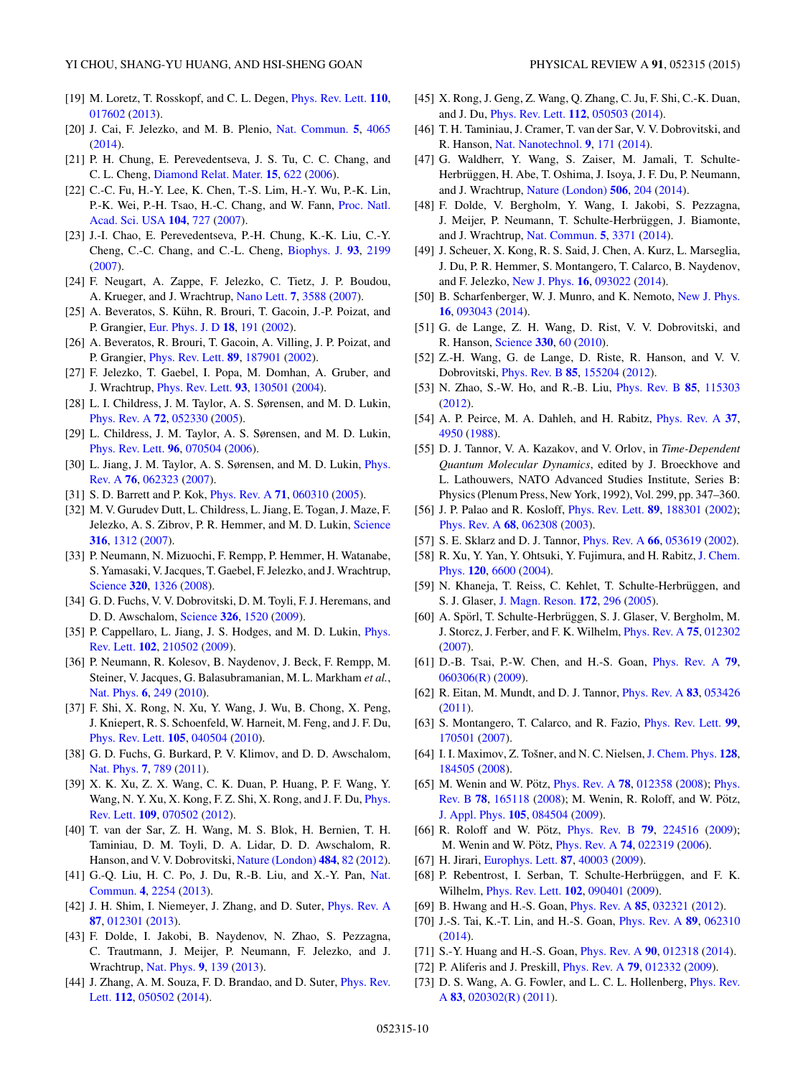- <span id="page-9-0"></span>[19] M. Loretz, T. Rosskopf, and C. L. Degen, [Phys. Rev. Lett.](http://dx.doi.org/10.1103/PhysRevLett.110.017602) **[110](http://dx.doi.org/10.1103/PhysRevLett.110.017602)**, [017602](http://dx.doi.org/10.1103/PhysRevLett.110.017602) [\(2013\)](http://dx.doi.org/10.1103/PhysRevLett.110.017602).
- [20] J. Cai, F. Jelezko, and M. B. Plenio, [Nat. Commun.](http://dx.doi.org/10.1038/ncomms5065) **[5](http://dx.doi.org/10.1038/ncomms5065)**, [4065](http://dx.doi.org/10.1038/ncomms5065) [\(2014\)](http://dx.doi.org/10.1038/ncomms5065).
- [21] P. H. Chung, E. Perevedentseva, J. S. Tu, C. C. Chang, and C. L. Cheng, [Diamond Relat. Mater.](http://dx.doi.org/10.1016/j.diamond.2005.11.019) **[15](http://dx.doi.org/10.1016/j.diamond.2005.11.019)**, [622](http://dx.doi.org/10.1016/j.diamond.2005.11.019) [\(2006\)](http://dx.doi.org/10.1016/j.diamond.2005.11.019).
- [22] C.-C. Fu, H.-Y. Lee, K. Chen, T.-S. Lim, H.-Y. Wu, P.-K. Lin, [P.-K. Wei, P.-H. Tsao, H.-C. Chang, and W. Fann,](http://dx.doi.org/10.1073/pnas.0605409104) Proc. Natl. Acad. Sci. USA **[104](http://dx.doi.org/10.1073/pnas.0605409104)**, [727](http://dx.doi.org/10.1073/pnas.0605409104) [\(2007\)](http://dx.doi.org/10.1073/pnas.0605409104).
- [23] J.-I. Chao, E. Perevedentseva, P.-H. Chung, K.-K. Liu, C.-Y. Cheng, C.-C. Chang, and C.-L. Cheng, [Biophys. J.](http://dx.doi.org/10.1529/biophysj.107.108134) **[93](http://dx.doi.org/10.1529/biophysj.107.108134)**, [2199](http://dx.doi.org/10.1529/biophysj.107.108134) [\(2007\)](http://dx.doi.org/10.1529/biophysj.107.108134).
- [24] F. Neugart, A. Zappe, F. Jelezko, C. Tietz, J. P. Boudou, A. Krueger, and J. Wrachtrup, [Nano Lett.](http://dx.doi.org/10.1021/nl0716303) **[7](http://dx.doi.org/10.1021/nl0716303)**, [3588](http://dx.doi.org/10.1021/nl0716303) [\(2007\)](http://dx.doi.org/10.1021/nl0716303).
- [25] A. Beveratos, S. Kühn, R. Brouri, T. Gacoin, J.-P. Poizat, and P. Grangier, [Eur. Phys. J. D](http://dx.doi.org/10.1140/epjd/e20020023) **[18](http://dx.doi.org/10.1140/epjd/e20020023)**, [191](http://dx.doi.org/10.1140/epjd/e20020023) [\(2002\)](http://dx.doi.org/10.1140/epjd/e20020023).
- [26] A. Beveratos, R. Brouri, T. Gacoin, A. Villing, J. P. Poizat, and P. Grangier, [Phys. Rev. Lett.](http://dx.doi.org/10.1103/PhysRevLett.89.187901) **[89](http://dx.doi.org/10.1103/PhysRevLett.89.187901)**, [187901](http://dx.doi.org/10.1103/PhysRevLett.89.187901) [\(2002\)](http://dx.doi.org/10.1103/PhysRevLett.89.187901).
- [27] F. Jelezko, T. Gaebel, I. Popa, M. Domhan, A. Gruber, and J. Wrachtrup, [Phys. Rev. Lett.](http://dx.doi.org/10.1103/PhysRevLett.93.130501) **[93](http://dx.doi.org/10.1103/PhysRevLett.93.130501)**, [130501](http://dx.doi.org/10.1103/PhysRevLett.93.130501) [\(2004\)](http://dx.doi.org/10.1103/PhysRevLett.93.130501).
- [28] L. I. Childress, J. M. Taylor, A. S. Sørensen, and M. D. Lukin, [Phys. Rev. A](http://dx.doi.org/10.1103/PhysRevA.72.052330) **[72](http://dx.doi.org/10.1103/PhysRevA.72.052330)**, [052330](http://dx.doi.org/10.1103/PhysRevA.72.052330) [\(2005\)](http://dx.doi.org/10.1103/PhysRevA.72.052330).
- [29] L. Childress, J. M. Taylor, A. S. Sørensen, and M. D. Lukin, [Phys. Rev. Lett.](http://dx.doi.org/10.1103/PhysRevLett.96.070504) **[96](http://dx.doi.org/10.1103/PhysRevLett.96.070504)**, [070504](http://dx.doi.org/10.1103/PhysRevLett.96.070504) [\(2006\)](http://dx.doi.org/10.1103/PhysRevLett.96.070504).
- [30] [L. Jiang, J. M. Taylor, A. S. Sørensen, and M. D. Lukin,](http://dx.doi.org/10.1103/PhysRevA.76.062323) *Phys.* Rev. A **[76](http://dx.doi.org/10.1103/PhysRevA.76.062323)**, [062323](http://dx.doi.org/10.1103/PhysRevA.76.062323) [\(2007\)](http://dx.doi.org/10.1103/PhysRevA.76.062323).
- [31] S. D. Barrett and P. Kok, [Phys. Rev. A](http://dx.doi.org/10.1103/PhysRevA.71.060310) **[71](http://dx.doi.org/10.1103/PhysRevA.71.060310)**, [060310](http://dx.doi.org/10.1103/PhysRevA.71.060310) [\(2005\)](http://dx.doi.org/10.1103/PhysRevA.71.060310).
- [32] M. V. Gurudev Dutt, L. Childress, L. Jiang, E. Togan, J. Maze, F. Jelezko, A. S. Zibrov, P. R. Hemmer, and M. D. Lukin, [Science](http://dx.doi.org/10.1126/science.1139831) **[316](http://dx.doi.org/10.1126/science.1139831)**, [1312](http://dx.doi.org/10.1126/science.1139831) [\(2007\)](http://dx.doi.org/10.1126/science.1139831).
- [33] P. Neumann, N. Mizuochi, F. Rempp, P. Hemmer, H. Watanabe, S. Yamasaki, V. Jacques, T. Gaebel, F. Jelezko, and J. Wrachtrup, [Science](http://dx.doi.org/10.1126/science.1157233) **[320](http://dx.doi.org/10.1126/science.1157233)**, [1326](http://dx.doi.org/10.1126/science.1157233) [\(2008\)](http://dx.doi.org/10.1126/science.1157233).
- [34] G. D. Fuchs, V. V. Dobrovitski, D. M. Toyli, F. J. Heremans, and D. D. Awschalom, [Science](http://dx.doi.org/10.1126/science.1181193) **[326](http://dx.doi.org/10.1126/science.1181193)**, [1520](http://dx.doi.org/10.1126/science.1181193) [\(2009\)](http://dx.doi.org/10.1126/science.1181193).
- [35] [P. Cappellaro, L. Jiang, J. S. Hodges, and M. D. Lukin,](http://dx.doi.org/10.1103/PhysRevLett.102.210502) *Phys.* Rev. Lett. **[102](http://dx.doi.org/10.1103/PhysRevLett.102.210502)**, [210502](http://dx.doi.org/10.1103/PhysRevLett.102.210502) [\(2009\)](http://dx.doi.org/10.1103/PhysRevLett.102.210502).
- [36] P. Neumann, R. Kolesov, B. Naydenov, J. Beck, F. Rempp, M. Steiner, V. Jacques, G. Balasubramanian, M. L. Markham *et al.*, [Nat. Phys.](http://dx.doi.org/10.1038/nphys1536) **[6](http://dx.doi.org/10.1038/nphys1536)**, [249](http://dx.doi.org/10.1038/nphys1536) [\(2010\)](http://dx.doi.org/10.1038/nphys1536).
- [37] F. Shi, X. Rong, N. Xu, Y. Wang, J. Wu, B. Chong, X. Peng, J. Kniepert, R. S. Schoenfeld, W. Harneit, M. Feng, and J. F. Du, [Phys. Rev. Lett.](http://dx.doi.org/10.1103/PhysRevLett.105.040504) **[105](http://dx.doi.org/10.1103/PhysRevLett.105.040504)**, [040504](http://dx.doi.org/10.1103/PhysRevLett.105.040504) [\(2010\)](http://dx.doi.org/10.1103/PhysRevLett.105.040504).
- [38] G. D. Fuchs, G. Burkard, P. V. Klimov, and D. D. Awschalom, [Nat. Phys.](http://dx.doi.org/10.1038/nphys2026) **[7](http://dx.doi.org/10.1038/nphys2026)**, [789](http://dx.doi.org/10.1038/nphys2026) [\(2011\)](http://dx.doi.org/10.1038/nphys2026).
- [39] X. K. Xu, Z. X. Wang, C. K. Duan, P. Huang, P. F. Wang, Y. [Wang, N. Y. Xu, X. Kong, F. Z. Shi, X. Rong, and J. F. Du,](http://dx.doi.org/10.1103/PhysRevLett.109.070502) Phys. Rev. Lett. **[109](http://dx.doi.org/10.1103/PhysRevLett.109.070502)**, [070502](http://dx.doi.org/10.1103/PhysRevLett.109.070502) [\(2012\)](http://dx.doi.org/10.1103/PhysRevLett.109.070502).
- [40] T. van der Sar, Z. H. Wang, M. S. Blok, H. Bernien, T. H. Taminiau, D. M. Toyli, D. A. Lidar, D. D. Awschalom, R. Hanson, and V. V. Dobrovitski, [Nature \(London\)](http://dx.doi.org/10.1038/nature10900) **[484](http://dx.doi.org/10.1038/nature10900)**, [82](http://dx.doi.org/10.1038/nature10900) [\(2012\)](http://dx.doi.org/10.1038/nature10900).
- [41] [G.-Q. Liu, H. C. Po, J. Du, R.-B. Liu, and X.-Y. Pan,](http://dx.doi.org/10.1038/ncomms3254) Nat. Commun. **[4](http://dx.doi.org/10.1038/ncomms3254)**, [2254](http://dx.doi.org/10.1038/ncomms3254) [\(2013\)](http://dx.doi.org/10.1038/ncomms3254).
- [42] J. H. Shim, I. Niemeyer, J. Zhang, and D. Suter, [Phys. Rev. A](http://dx.doi.org/10.1103/PhysRevA.87.012301) **[87](http://dx.doi.org/10.1103/PhysRevA.87.012301)**, [012301](http://dx.doi.org/10.1103/PhysRevA.87.012301) [\(2013\)](http://dx.doi.org/10.1103/PhysRevA.87.012301).
- [43] F. Dolde, I. Jakobi, B. Naydenov, N. Zhao, S. Pezzagna, C. Trautmann, J. Meijer, P. Neumann, F. Jelezko, and J. Wrachtrup, [Nat. Phys.](http://dx.doi.org/10.1038/nphys2545) **[9](http://dx.doi.org/10.1038/nphys2545)**, [139](http://dx.doi.org/10.1038/nphys2545) [\(2013\)](http://dx.doi.org/10.1038/nphys2545).
- [44] [J. Zhang, A. M. Souza, F. D. Brandao, and D. Suter,](http://dx.doi.org/10.1103/PhysRevLett.112.050502) *Phys. Rev.* Lett. **[112](http://dx.doi.org/10.1103/PhysRevLett.112.050502)**, [050502](http://dx.doi.org/10.1103/PhysRevLett.112.050502) [\(2014\)](http://dx.doi.org/10.1103/PhysRevLett.112.050502).
- [45] X. Rong, J. Geng, Z. Wang, Q. Zhang, C. Ju, F. Shi, C.-K. Duan, and J. Du, [Phys. Rev. Lett.](http://dx.doi.org/10.1103/PhysRevLett.112.050503) **[112](http://dx.doi.org/10.1103/PhysRevLett.112.050503)**, [050503](http://dx.doi.org/10.1103/PhysRevLett.112.050503) [\(2014\)](http://dx.doi.org/10.1103/PhysRevLett.112.050503).
- [46] T. H. Taminiau, J. Cramer, T. van der Sar, V. V. Dobrovitski, and R. Hanson, [Nat. Nanotechnol.](http://dx.doi.org/10.1038/nnano.2014.2) **[9](http://dx.doi.org/10.1038/nnano.2014.2)**, [171](http://dx.doi.org/10.1038/nnano.2014.2) [\(2014\)](http://dx.doi.org/10.1038/nnano.2014.2).
- [47] G. Waldherr, Y. Wang, S. Zaiser, M. Jamali, T. Schulte-Herbrüggen, H. Abe, T. Oshima, J. Isoya, J. F. Du, P. Neumann, and J. Wrachtrup, [Nature \(London\)](http://dx.doi.org/10.1038/nature12919) **[506](http://dx.doi.org/10.1038/nature12919)**, [204](http://dx.doi.org/10.1038/nature12919) [\(2014\)](http://dx.doi.org/10.1038/nature12919).
- [48] F. Dolde, V. Bergholm, Y. Wang, I. Jakobi, S. Pezzagna, J. Meijer, P. Neumann, T. Schulte-Herbrüggen, J. Biamonte, and J. Wrachtrup, [Nat. Commun.](http://dx.doi.org/10.1038/ncomms4371) **[5](http://dx.doi.org/10.1038/ncomms4371)**, [3371](http://dx.doi.org/10.1038/ncomms4371) [\(2014\)](http://dx.doi.org/10.1038/ncomms4371).
- [49] J. Scheuer, X. Kong, R. S. Said, J. Chen, A. Kurz, L. Marseglia, J. Du, P. R. Hemmer, S. Montangero, T. Calarco, B. Naydenov, and F. Jelezko, [New J. Phys.](http://dx.doi.org/10.1088/1367-2630/16/9/093022) **[16](http://dx.doi.org/10.1088/1367-2630/16/9/093022)**, [093022](http://dx.doi.org/10.1088/1367-2630/16/9/093022) [\(2014\)](http://dx.doi.org/10.1088/1367-2630/16/9/093022).
- [50] B. Scharfenberger, W. J. Munro, and K. Nemoto, [New J. Phys.](http://dx.doi.org/10.1088/1367-2630/16/9/093043) **[16](http://dx.doi.org/10.1088/1367-2630/16/9/093043)**, [093043](http://dx.doi.org/10.1088/1367-2630/16/9/093043) [\(2014\)](http://dx.doi.org/10.1088/1367-2630/16/9/093043).
- [51] G. de Lange, Z. H. Wang, D. Rist, V. V. Dobrovitski, and R. Hanson, [Science](http://dx.doi.org/10.1126/science.1192739) **[330](http://dx.doi.org/10.1126/science.1192739)**, [60](http://dx.doi.org/10.1126/science.1192739) [\(2010\)](http://dx.doi.org/10.1126/science.1192739).
- [52] Z.-H. Wang, G. de Lange, D. Riste, R. Hanson, and V. V. Dobrovitski, [Phys. Rev. B](http://dx.doi.org/10.1103/PhysRevB.85.155204) **[85](http://dx.doi.org/10.1103/PhysRevB.85.155204)**, [155204](http://dx.doi.org/10.1103/PhysRevB.85.155204) [\(2012\)](http://dx.doi.org/10.1103/PhysRevB.85.155204).
- [53] N. Zhao, S.-W. Ho, and R.-B. Liu, [Phys. Rev. B](http://dx.doi.org/10.1103/PhysRevB.85.115303) **[85](http://dx.doi.org/10.1103/PhysRevB.85.115303)**, [115303](http://dx.doi.org/10.1103/PhysRevB.85.115303) [\(2012\)](http://dx.doi.org/10.1103/PhysRevB.85.115303).
- [54] A. P. Peirce, M. A. Dahleh, and H. Rabitz, [Phys. Rev. A](http://dx.doi.org/10.1103/PhysRevA.37.4950) **[37](http://dx.doi.org/10.1103/PhysRevA.37.4950)**, [4950](http://dx.doi.org/10.1103/PhysRevA.37.4950) [\(1988\)](http://dx.doi.org/10.1103/PhysRevA.37.4950).
- [55] D. J. Tannor, V. A. Kazakov, and V. Orlov, in *Time-Dependent Quantum Molecular Dynamics*, edited by J. Broeckhove and L. Lathouwers, NATO Advanced Studies Institute, Series B: Physics (Plenum Press, New York, 1992), Vol. 299, pp. 347–360.
- [56] J. P. Palao and R. Kosloff, [Phys. Rev. Lett.](http://dx.doi.org/10.1103/PhysRevLett.89.188301) **[89](http://dx.doi.org/10.1103/PhysRevLett.89.188301)**, [188301](http://dx.doi.org/10.1103/PhysRevLett.89.188301) [\(2002\)](http://dx.doi.org/10.1103/PhysRevLett.89.188301); [,Phys. Rev. A](http://dx.doi.org/10.1103/PhysRevA.68.062308) **[68](http://dx.doi.org/10.1103/PhysRevA.68.062308)**, [062308](http://dx.doi.org/10.1103/PhysRevA.68.062308) [\(2003\)](http://dx.doi.org/10.1103/PhysRevA.68.062308).
- [57] S. E. Sklarz and D. J. Tannor, [Phys. Rev. A](http://dx.doi.org/10.1103/PhysRevA.66.053619) **[66](http://dx.doi.org/10.1103/PhysRevA.66.053619)**, [053619](http://dx.doi.org/10.1103/PhysRevA.66.053619) [\(2002\)](http://dx.doi.org/10.1103/PhysRevA.66.053619).
- [58] [R. Xu, Y. Yan, Y. Ohtsuki, Y. Fujimura, and H. Rabitz,](http://dx.doi.org/10.1063/1.1665486) J. Chem. Phys. **[120](http://dx.doi.org/10.1063/1.1665486)**, [6600](http://dx.doi.org/10.1063/1.1665486) [\(2004\)](http://dx.doi.org/10.1063/1.1665486).
- [59] N. Khaneja, T. Reiss, C. Kehlet, T. Schulte-Herbrüggen, and S. J. Glaser, [J. Magn. Reson.](http://dx.doi.org/10.1016/j.jmr.2004.11.004) **[172](http://dx.doi.org/10.1016/j.jmr.2004.11.004)**, [296](http://dx.doi.org/10.1016/j.jmr.2004.11.004) [\(2005\)](http://dx.doi.org/10.1016/j.jmr.2004.11.004).
- [60] A. Spörl, T. Schulte-Herbrüggen, S. J. Glaser, V. Bergholm, M. J. Storcz, J. Ferber, and F. K. Wilhelm, [Phys. Rev. A](http://dx.doi.org/10.1103/PhysRevA.75.012302) **[75](http://dx.doi.org/10.1103/PhysRevA.75.012302)**, [012302](http://dx.doi.org/10.1103/PhysRevA.75.012302) [\(2007\)](http://dx.doi.org/10.1103/PhysRevA.75.012302).
- [61] D.-B. Tsai, P.-W. Chen, and H.-S. Goan, [Phys. Rev. A](http://dx.doi.org/10.1103/PhysRevA.79.060306) **[79](http://dx.doi.org/10.1103/PhysRevA.79.060306)**, [060306\(R\)](http://dx.doi.org/10.1103/PhysRevA.79.060306) [\(2009\)](http://dx.doi.org/10.1103/PhysRevA.79.060306).
- [62] R. Eitan, M. Mundt, and D. J. Tannor, [Phys. Rev. A](http://dx.doi.org/10.1103/PhysRevA.83.053426) **[83](http://dx.doi.org/10.1103/PhysRevA.83.053426)**, [053426](http://dx.doi.org/10.1103/PhysRevA.83.053426) [\(2011\)](http://dx.doi.org/10.1103/PhysRevA.83.053426).
- [63] S. Montangero, T. Calarco, and R. Fazio, [Phys. Rev. Lett.](http://dx.doi.org/10.1103/PhysRevLett.99.170501) **[99](http://dx.doi.org/10.1103/PhysRevLett.99.170501)**, [170501](http://dx.doi.org/10.1103/PhysRevLett.99.170501) [\(2007\)](http://dx.doi.org/10.1103/PhysRevLett.99.170501).
- [64] I. I. Maximov, Z. Tošner, and N. C. Nielsen, [J. Chem. Phys.](http://dx.doi.org/10.1063/1.2903458) [128](http://dx.doi.org/10.1063/1.2903458), [184505](http://dx.doi.org/10.1063/1.2903458) [\(2008\)](http://dx.doi.org/10.1063/1.2903458).
- [65] M. Wenin and W. Pötz, *[Phys. Rev. A](http://dx.doi.org/10.1103/PhysRevA.78.012358)* **[78](http://dx.doi.org/10.1103/PhysRevA.78.012358)**, [012358](http://dx.doi.org/10.1103/PhysRevA.78.012358) [\(2008\)](http://dx.doi.org/10.1103/PhysRevA.78.012358); *Phys.* Rev. B **[78](http://dx.doi.org/10.1103/PhysRevB.78.165118)**, [165118](http://dx.doi.org/10.1103/PhysRevB.78.165118) (2008); M. Wenin, R. Roloff, and W. Pötz, [J. Appl. Phys.](http://dx.doi.org/10.1063/1.3080242) **[105](http://dx.doi.org/10.1063/1.3080242)**, [084504](http://dx.doi.org/10.1063/1.3080242) [\(2009\)](http://dx.doi.org/10.1063/1.3080242).
- [66] R. Roloff and W. Pötz, *[Phys. Rev. B](http://dx.doi.org/10.1103/PhysRevB.79.224516)* **[79](http://dx.doi.org/10.1103/PhysRevB.79.224516)**, [224516](http://dx.doi.org/10.1103/PhysRevB.79.224516) [\(2009\)](http://dx.doi.org/10.1103/PhysRevB.79.224516); M. Wenin and W. Pötz, *[Phys. Rev. A](http://dx.doi.org/10.1103/PhysRevA.74.022319)* **[74](http://dx.doi.org/10.1103/PhysRevA.74.022319)**, [022319](http://dx.doi.org/10.1103/PhysRevA.74.022319) [\(2006\)](http://dx.doi.org/10.1103/PhysRevA.74.022319).
- [67] H. Jirari, [Europhys. Lett.](http://dx.doi.org/10.1209/0295-5075/87/40003) **[87](http://dx.doi.org/10.1209/0295-5075/87/40003)**, [40003](http://dx.doi.org/10.1209/0295-5075/87/40003) [\(2009\)](http://dx.doi.org/10.1209/0295-5075/87/40003).
- [68] P. Rebentrost, I. Serban, T. Schulte-Herbrüggen, and F. K. Wilhelm, [Phys. Rev. Lett.](http://dx.doi.org/10.1103/PhysRevLett.102.090401) **[102](http://dx.doi.org/10.1103/PhysRevLett.102.090401)**, [090401](http://dx.doi.org/10.1103/PhysRevLett.102.090401) [\(2009\)](http://dx.doi.org/10.1103/PhysRevLett.102.090401).
- [69] B. Hwang and H.-S. Goan, [Phys. Rev. A](http://dx.doi.org/10.1103/PhysRevA.85.032321) **[85](http://dx.doi.org/10.1103/PhysRevA.85.032321)**, [032321](http://dx.doi.org/10.1103/PhysRevA.85.032321) [\(2012\)](http://dx.doi.org/10.1103/PhysRevA.85.032321).
- [70] J.-S. Tai, K.-T. Lin, and H.-S. Goan, [Phys. Rev. A](http://dx.doi.org/10.1103/PhysRevA.89.062310) **[89](http://dx.doi.org/10.1103/PhysRevA.89.062310)**, [062310](http://dx.doi.org/10.1103/PhysRevA.89.062310) [\(2014\)](http://dx.doi.org/10.1103/PhysRevA.89.062310).
- [71] S.-Y. Huang and H.-S. Goan, [Phys. Rev. A](http://dx.doi.org/10.1103/PhysRevA.90.012318) **[90](http://dx.doi.org/10.1103/PhysRevA.90.012318)**, [012318](http://dx.doi.org/10.1103/PhysRevA.90.012318) [\(2014\)](http://dx.doi.org/10.1103/PhysRevA.90.012318).
- [72] P. Aliferis and J. Preskill, [Phys. Rev. A](http://dx.doi.org/10.1103/PhysRevA.79.012332) **[79](http://dx.doi.org/10.1103/PhysRevA.79.012332)**, [012332](http://dx.doi.org/10.1103/PhysRevA.79.012332) [\(2009\)](http://dx.doi.org/10.1103/PhysRevA.79.012332).
- [73] [D. S. Wang, A. G. Fowler, and L. C. L. Hollenberg,](http://dx.doi.org/10.1103/PhysRevA.83.020302) *Phys. Rev.* A **[83](http://dx.doi.org/10.1103/PhysRevA.83.020302)**, [020302\(R\)](http://dx.doi.org/10.1103/PhysRevA.83.020302) [\(2011\)](http://dx.doi.org/10.1103/PhysRevA.83.020302).